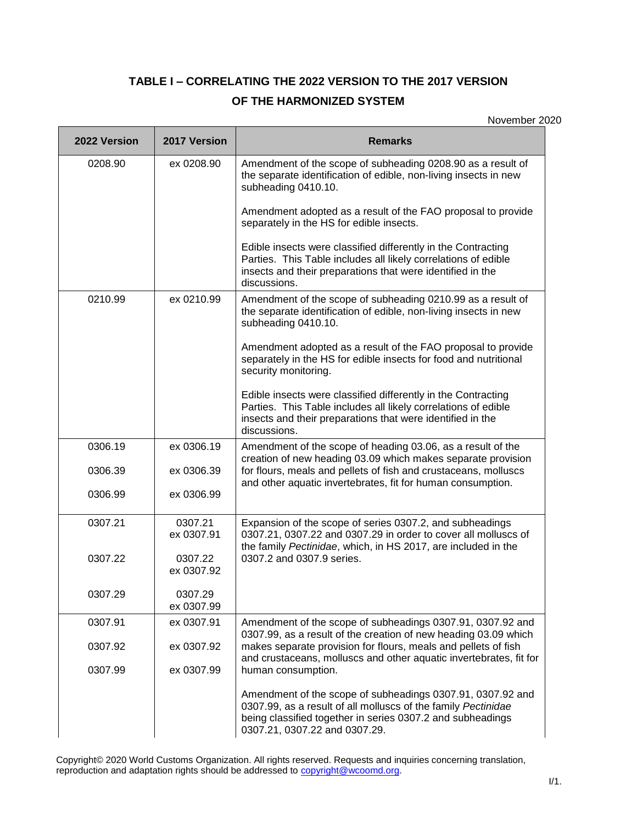## **TABLE I – CORRELATING THE 2022 VERSION TO THE 2017 VERSION**

## **OF THE HARMONIZED SYSTEM**

November 2020

| 2022 Version | 2017 Version          | <b>Remarks</b>                                                                                                                                                                                                             |
|--------------|-----------------------|----------------------------------------------------------------------------------------------------------------------------------------------------------------------------------------------------------------------------|
| 0208.90      | ex 0208.90            | Amendment of the scope of subheading 0208.90 as a result of<br>the separate identification of edible, non-living insects in new<br>subheading 0410.10.                                                                     |
|              |                       | Amendment adopted as a result of the FAO proposal to provide<br>separately in the HS for edible insects.                                                                                                                   |
|              |                       | Edible insects were classified differently in the Contracting<br>Parties. This Table includes all likely correlations of edible<br>insects and their preparations that were identified in the<br>discussions.              |
| 0210.99      | ex 0210.99            | Amendment of the scope of subheading 0210.99 as a result of<br>the separate identification of edible, non-living insects in new<br>subheading 0410.10.                                                                     |
|              |                       | Amendment adopted as a result of the FAO proposal to provide<br>separately in the HS for edible insects for food and nutritional<br>security monitoring.                                                                   |
|              |                       | Edible insects were classified differently in the Contracting<br>Parties. This Table includes all likely correlations of edible<br>insects and their preparations that were identified in the<br>discussions.              |
| 0306.19      | ex 0306.19            | Amendment of the scope of heading 03.06, as a result of the<br>creation of new heading 03.09 which makes separate provision                                                                                                |
| 0306.39      | ex 0306.39            | for flours, meals and pellets of fish and crustaceans, molluscs<br>and other aquatic invertebrates, fit for human consumption.                                                                                             |
| 0306.99      | ex 0306.99            |                                                                                                                                                                                                                            |
| 0307.21      | 0307.21<br>ex 0307.91 | Expansion of the scope of series 0307.2, and subheadings<br>0307.21, 0307.22 and 0307.29 in order to cover all molluscs of<br>the family Pectinidae, which, in HS 2017, are included in the                                |
| 0307.22      | 0307.22<br>ex 0307.92 | 0307.2 and 0307.9 series.                                                                                                                                                                                                  |
| 0307.29      | 0307.29<br>ex 0307.99 |                                                                                                                                                                                                                            |
| 0307.91      | ex 0307.91            | Amendment of the scope of subheadings 0307.91, 0307.92 and<br>0307.99, as a result of the creation of new heading 03.09 which                                                                                              |
| 0307.92      | ex 0307.92            | makes separate provision for flours, meals and pellets of fish<br>and crustaceans, molluscs and other aquatic invertebrates, fit for                                                                                       |
| 0307.99      | ex 0307.99            | human consumption.                                                                                                                                                                                                         |
|              |                       | Amendment of the scope of subheadings 0307.91, 0307.92 and<br>0307.99, as a result of all molluscs of the family Pectinidae<br>being classified together in series 0307.2 and subheadings<br>0307.21, 0307.22 and 0307.29. |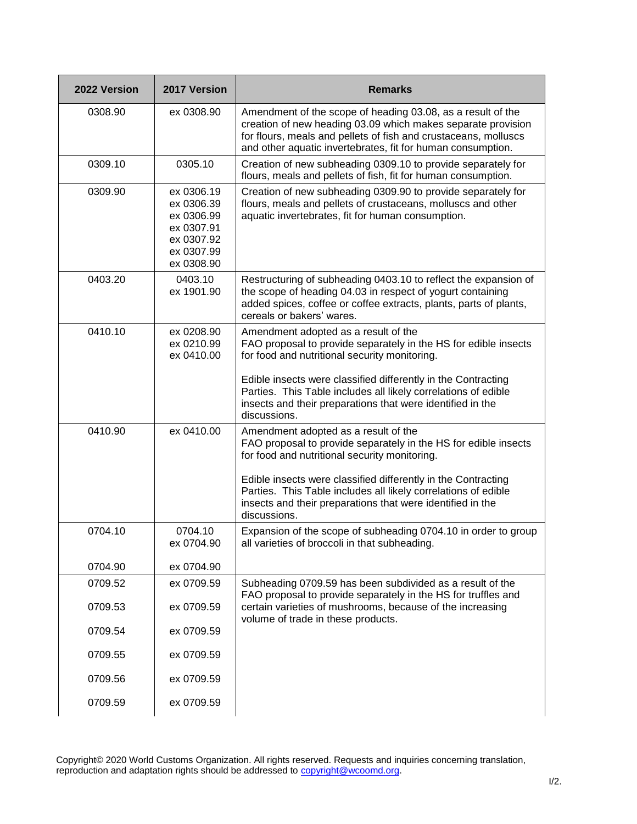| 2022 Version | 2017 Version                                                                                   | <b>Remarks</b>                                                                                                                                                                                                                                                                                                                                                            |
|--------------|------------------------------------------------------------------------------------------------|---------------------------------------------------------------------------------------------------------------------------------------------------------------------------------------------------------------------------------------------------------------------------------------------------------------------------------------------------------------------------|
| 0308.90      | ex 0308.90                                                                                     | Amendment of the scope of heading 03.08, as a result of the<br>creation of new heading 03.09 which makes separate provision<br>for flours, meals and pellets of fish and crustaceans, molluscs<br>and other aquatic invertebrates, fit for human consumption.                                                                                                             |
| 0309.10      | 0305.10                                                                                        | Creation of new subheading 0309.10 to provide separately for<br>flours, meals and pellets of fish, fit for human consumption.                                                                                                                                                                                                                                             |
| 0309.90      | ex 0306.19<br>ex 0306.39<br>ex 0306.99<br>ex 0307.91<br>ex 0307.92<br>ex 0307.99<br>ex 0308.90 | Creation of new subheading 0309.90 to provide separately for<br>flours, meals and pellets of crustaceans, molluscs and other<br>aquatic invertebrates, fit for human consumption.                                                                                                                                                                                         |
| 0403.20      | 0403.10<br>ex 1901.90                                                                          | Restructuring of subheading 0403.10 to reflect the expansion of<br>the scope of heading 04.03 in respect of yogurt containing<br>added spices, coffee or coffee extracts, plants, parts of plants,<br>cereals or bakers' wares.                                                                                                                                           |
| 0410.10      | ex 0208.90<br>ex 0210.99<br>ex 0410.00                                                         | Amendment adopted as a result of the<br>FAO proposal to provide separately in the HS for edible insects<br>for food and nutritional security monitoring.                                                                                                                                                                                                                  |
|              |                                                                                                | Edible insects were classified differently in the Contracting<br>Parties. This Table includes all likely correlations of edible<br>insects and their preparations that were identified in the<br>discussions.                                                                                                                                                             |
| 0410.90      | ex 0410.00                                                                                     | Amendment adopted as a result of the<br>FAO proposal to provide separately in the HS for edible insects<br>for food and nutritional security monitoring.<br>Edible insects were classified differently in the Contracting<br>Parties. This Table includes all likely correlations of edible<br>insects and their preparations that were identified in the<br>discussions. |
| 0704.10      | 0704.10<br>ex 0704.90                                                                          | Expansion of the scope of subheading 0704.10 in order to group<br>all varieties of broccoli in that subheading.                                                                                                                                                                                                                                                           |
| 0704.90      | ex 0704.90                                                                                     |                                                                                                                                                                                                                                                                                                                                                                           |
| 0709.52      | ex 0709.59                                                                                     | Subheading 0709.59 has been subdivided as a result of the                                                                                                                                                                                                                                                                                                                 |
| 0709.53      | ex 0709.59                                                                                     | FAO proposal to provide separately in the HS for truffles and<br>certain varieties of mushrooms, because of the increasing<br>volume of trade in these products.                                                                                                                                                                                                          |
| 0709.54      | ex 0709.59                                                                                     |                                                                                                                                                                                                                                                                                                                                                                           |
| 0709.55      | ex 0709.59                                                                                     |                                                                                                                                                                                                                                                                                                                                                                           |
| 0709.56      | ex 0709.59                                                                                     |                                                                                                                                                                                                                                                                                                                                                                           |
| 0709.59      | ex 0709.59                                                                                     |                                                                                                                                                                                                                                                                                                                                                                           |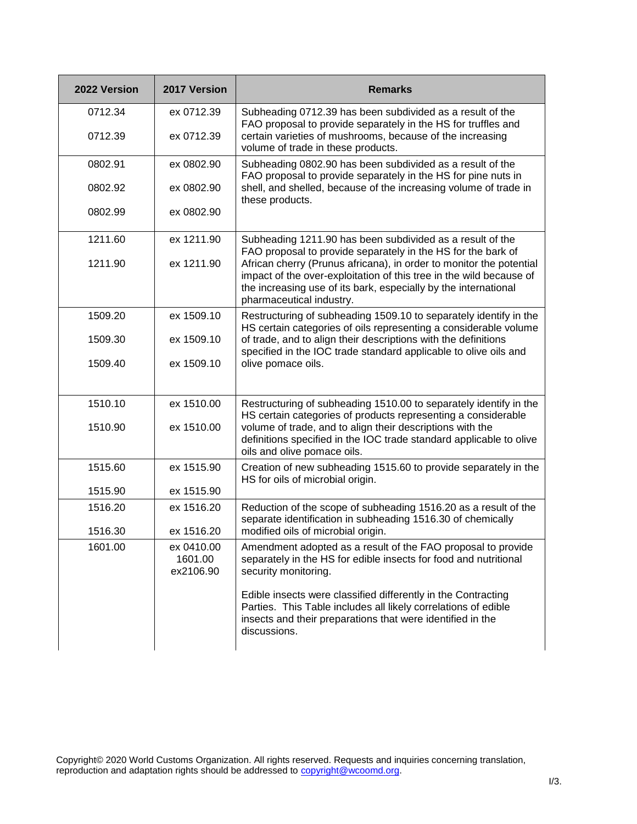| 2022 Version | 2017 Version                       | <b>Remarks</b>                                                                                                                                                                                                                            |
|--------------|------------------------------------|-------------------------------------------------------------------------------------------------------------------------------------------------------------------------------------------------------------------------------------------|
| 0712.34      | ex 0712.39                         | Subheading 0712.39 has been subdivided as a result of the<br>FAO proposal to provide separately in the HS for truffles and                                                                                                                |
| 0712.39      | ex 0712.39                         | certain varieties of mushrooms, because of the increasing<br>volume of trade in these products.                                                                                                                                           |
| 0802.91      | ex 0802.90                         | Subheading 0802.90 has been subdivided as a result of the<br>FAO proposal to provide separately in the HS for pine nuts in                                                                                                                |
| 0802.92      | ex 0802.90                         | shell, and shelled, because of the increasing volume of trade in<br>these products.                                                                                                                                                       |
| 0802.99      | ex 0802.90                         |                                                                                                                                                                                                                                           |
| 1211.60      | ex 1211.90                         | Subheading 1211.90 has been subdivided as a result of the<br>FAO proposal to provide separately in the HS for the bark of                                                                                                                 |
| 1211.90      | ex 1211.90                         | African cherry (Prunus africana), in order to monitor the potential<br>impact of the over-exploitation of this tree in the wild because of<br>the increasing use of its bark, especially by the international<br>pharmaceutical industry. |
| 1509.20      | ex 1509.10                         | Restructuring of subheading 1509.10 to separately identify in the<br>HS certain categories of oils representing a considerable volume                                                                                                     |
| 1509.30      | ex 1509.10                         | of trade, and to align their descriptions with the definitions<br>specified in the IOC trade standard applicable to olive oils and                                                                                                        |
| 1509.40      | ex 1509.10                         | olive pomace oils.                                                                                                                                                                                                                        |
| 1510.10      | ex 1510.00                         | Restructuring of subheading 1510.00 to separately identify in the<br>HS certain categories of products representing a considerable                                                                                                        |
| 1510.90      | ex 1510.00                         | volume of trade, and to align their descriptions with the<br>definitions specified in the IOC trade standard applicable to olive<br>oils and olive pomace oils.                                                                           |
| 1515.60      | ex 1515.90                         | Creation of new subheading 1515.60 to provide separately in the<br>HS for oils of microbial origin.                                                                                                                                       |
| 1515.90      | ex 1515.90                         |                                                                                                                                                                                                                                           |
| 1516.20      | ex 1516.20                         | Reduction of the scope of subheading 1516.20 as a result of the<br>separate identification in subheading 1516.30 of chemically                                                                                                            |
| 1516.30      | ex 1516.20                         | modified oils of microbial origin.                                                                                                                                                                                                        |
| 1601.00      | ex 0410.00<br>1601.00<br>ex2106.90 | Amendment adopted as a result of the FAO proposal to provide<br>separately in the HS for edible insects for food and nutritional<br>security monitoring.                                                                                  |
|              |                                    | Edible insects were classified differently in the Contracting<br>Parties. This Table includes all likely correlations of edible<br>insects and their preparations that were identified in the<br>discussions.                             |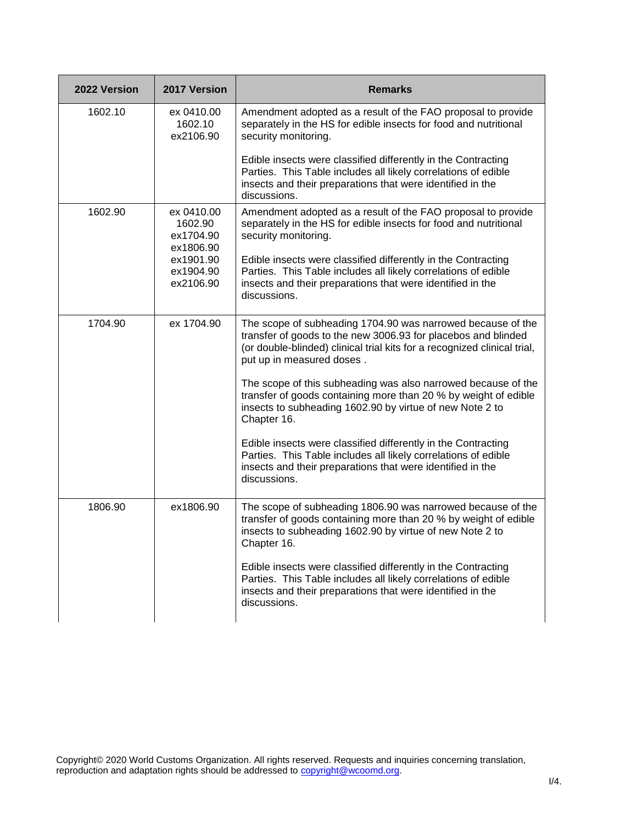| 2022 Version | 2017 Version                                    | <b>Remarks</b>                                                                                                                                                                                                                        |
|--------------|-------------------------------------------------|---------------------------------------------------------------------------------------------------------------------------------------------------------------------------------------------------------------------------------------|
| 1602.10      | ex 0410.00<br>1602.10<br>ex2106.90              | Amendment adopted as a result of the FAO proposal to provide<br>separately in the HS for edible insects for food and nutritional<br>security monitoring.                                                                              |
|              |                                                 | Edible insects were classified differently in the Contracting<br>Parties. This Table includes all likely correlations of edible<br>insects and their preparations that were identified in the<br>discussions.                         |
| 1602.90      | ex 0410.00<br>1602.90<br>ex1704.90<br>ex1806.90 | Amendment adopted as a result of the FAO proposal to provide<br>separately in the HS for edible insects for food and nutritional<br>security monitoring.                                                                              |
|              | ex1901.90<br>ex1904.90<br>ex2106.90             | Edible insects were classified differently in the Contracting<br>Parties. This Table includes all likely correlations of edible<br>insects and their preparations that were identified in the<br>discussions.                         |
| 1704.90      | ex 1704.90                                      | The scope of subheading 1704.90 was narrowed because of the<br>transfer of goods to the new 3006.93 for placebos and blinded<br>(or double-blinded) clinical trial kits for a recognized clinical trial,<br>put up in measured doses. |
|              |                                                 | The scope of this subheading was also narrowed because of the<br>transfer of goods containing more than 20 % by weight of edible<br>insects to subheading 1602.90 by virtue of new Note 2 to<br>Chapter 16.                           |
|              |                                                 | Edible insects were classified differently in the Contracting<br>Parties. This Table includes all likely correlations of edible<br>insects and their preparations that were identified in the<br>discussions.                         |
| 1806.90      | ex1806.90                                       | The scope of subheading 1806.90 was narrowed because of the<br>transfer of goods containing more than 20 % by weight of edible<br>insects to subheading 1602.90 by virtue of new Note 2 to<br>Chapter 16.                             |
|              |                                                 | Edible insects were classified differently in the Contracting<br>Parties. This Table includes all likely correlations of edible<br>insects and their preparations that were identified in the<br>discussions.                         |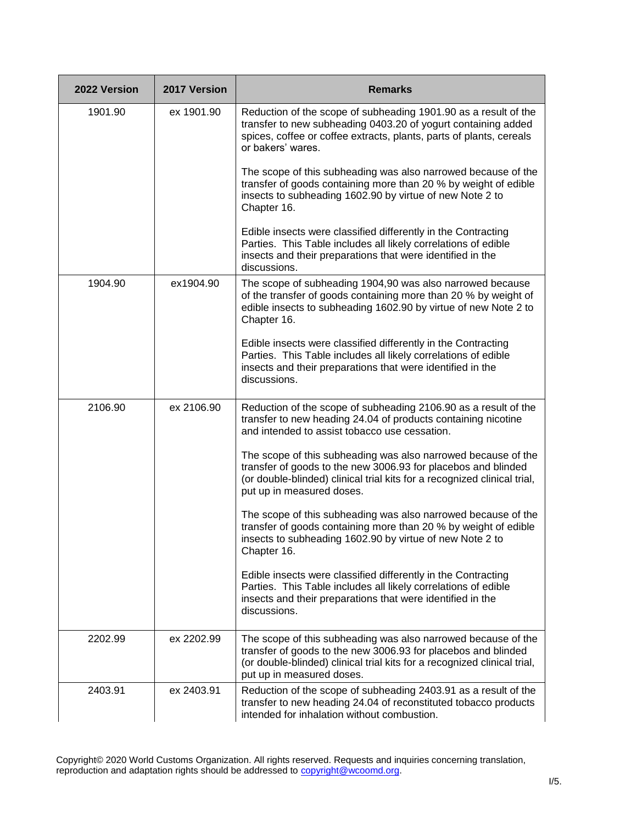| 2022 Version | 2017 Version | <b>Remarks</b>                                                                                                                                                                                                                          |
|--------------|--------------|-----------------------------------------------------------------------------------------------------------------------------------------------------------------------------------------------------------------------------------------|
| 1901.90      | ex 1901.90   | Reduction of the scope of subheading 1901.90 as a result of the<br>transfer to new subheading 0403.20 of yogurt containing added<br>spices, coffee or coffee extracts, plants, parts of plants, cereals<br>or bakers' wares.            |
|              |              | The scope of this subheading was also narrowed because of the<br>transfer of goods containing more than 20 % by weight of edible<br>insects to subheading 1602.90 by virtue of new Note 2 to<br>Chapter 16.                             |
|              |              | Edible insects were classified differently in the Contracting<br>Parties. This Table includes all likely correlations of edible<br>insects and their preparations that were identified in the<br>discussions.                           |
| 1904.90      | ex1904.90    | The scope of subheading 1904,90 was also narrowed because<br>of the transfer of goods containing more than 20 % by weight of<br>edible insects to subheading 1602.90 by virtue of new Note 2 to<br>Chapter 16.                          |
|              |              | Edible insects were classified differently in the Contracting<br>Parties. This Table includes all likely correlations of edible<br>insects and their preparations that were identified in the<br>discussions.                           |
| 2106.90      | ex 2106.90   | Reduction of the scope of subheading 2106.90 as a result of the<br>transfer to new heading 24.04 of products containing nicotine<br>and intended to assist tobacco use cessation.                                                       |
|              |              | The scope of this subheading was also narrowed because of the<br>transfer of goods to the new 3006.93 for placebos and blinded<br>(or double-blinded) clinical trial kits for a recognized clinical trial,<br>put up in measured doses. |
|              |              | The scope of this subheading was also narrowed because of the<br>transfer of goods containing more than 20 % by weight of edible<br>insects to subheading 1602.90 by virtue of new Note 2 to<br>Chapter 16.                             |
|              |              | Edible insects were classified differently in the Contracting<br>Parties. This Table includes all likely correlations of edible<br>insects and their preparations that were identified in the<br>discussions.                           |
| 2202.99      | ex 2202.99   | The scope of this subheading was also narrowed because of the<br>transfer of goods to the new 3006.93 for placebos and blinded<br>(or double-blinded) clinical trial kits for a recognized clinical trial,<br>put up in measured doses. |
| 2403.91      | ex 2403.91   | Reduction of the scope of subheading 2403.91 as a result of the<br>transfer to new heading 24.04 of reconstituted tobacco products<br>intended for inhalation without combustion.                                                       |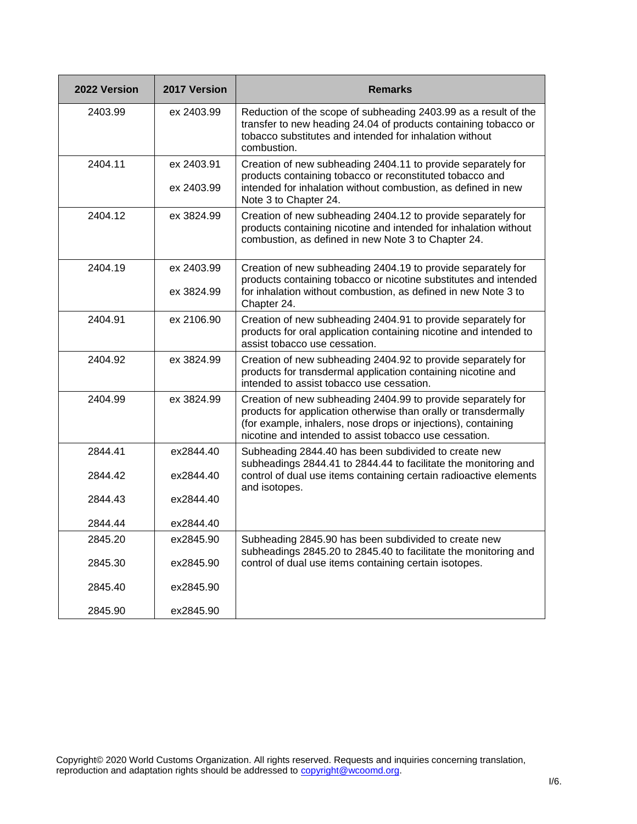| 2022 Version | 2017 Version             | <b>Remarks</b>                                                                                                                                                                                                                                             |
|--------------|--------------------------|------------------------------------------------------------------------------------------------------------------------------------------------------------------------------------------------------------------------------------------------------------|
| 2403.99      | ex 2403.99               | Reduction of the scope of subheading 2403.99 as a result of the<br>transfer to new heading 24.04 of products containing tobacco or<br>tobacco substitutes and intended for inhalation without<br>combustion.                                               |
| 2404.11      | ex 2403.91<br>ex 2403.99 | Creation of new subheading 2404.11 to provide separately for<br>products containing tobacco or reconstituted tobacco and<br>intended for inhalation without combustion, as defined in new<br>Note 3 to Chapter 24.                                         |
| 2404.12      | ex 3824.99               | Creation of new subheading 2404.12 to provide separately for<br>products containing nicotine and intended for inhalation without<br>combustion, as defined in new Note 3 to Chapter 24.                                                                    |
| 2404.19      | ex 2403.99<br>ex 3824.99 | Creation of new subheading 2404.19 to provide separately for<br>products containing tobacco or nicotine substitutes and intended<br>for inhalation without combustion, as defined in new Note 3 to<br>Chapter 24.                                          |
| 2404.91      | ex 2106.90               | Creation of new subheading 2404.91 to provide separately for<br>products for oral application containing nicotine and intended to<br>assist tobacco use cessation.                                                                                         |
| 2404.92      | ex 3824.99               | Creation of new subheading 2404.92 to provide separately for<br>products for transdermal application containing nicotine and<br>intended to assist tobacco use cessation.                                                                                  |
| 2404.99      | ex 3824.99               | Creation of new subheading 2404.99 to provide separately for<br>products for application otherwise than orally or transdermally<br>(for example, inhalers, nose drops or injections), containing<br>nicotine and intended to assist tobacco use cessation. |
| 2844.41      | ex2844.40                | Subheading 2844.40 has been subdivided to create new<br>subheadings 2844.41 to 2844.44 to facilitate the monitoring and                                                                                                                                    |
| 2844.42      | ex2844.40                | control of dual use items containing certain radioactive elements<br>and isotopes.                                                                                                                                                                         |
| 2844.43      | ex2844.40                |                                                                                                                                                                                                                                                            |
| 2844.44      | ex2844.40                |                                                                                                                                                                                                                                                            |
| 2845.20      | ex2845.90                | Subheading 2845.90 has been subdivided to create new<br>subheadings 2845.20 to 2845.40 to facilitate the monitoring and                                                                                                                                    |
| 2845.30      | ex2845.90                | control of dual use items containing certain isotopes.                                                                                                                                                                                                     |
| 2845.40      | ex2845.90                |                                                                                                                                                                                                                                                            |
| 2845.90      | ex2845.90                |                                                                                                                                                                                                                                                            |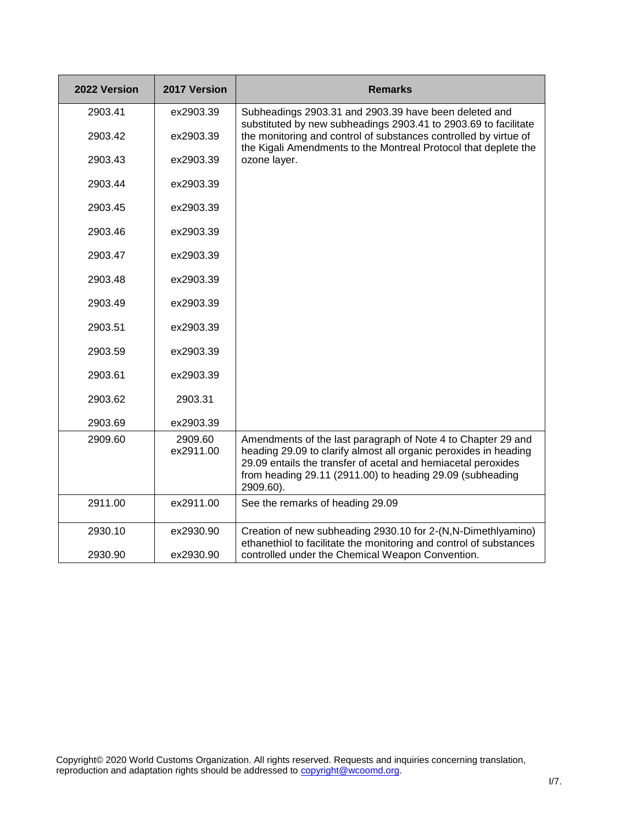| 2022 Version | 2017 Version         | <b>Remarks</b>                                                                                                                                                                                                                                                              |
|--------------|----------------------|-----------------------------------------------------------------------------------------------------------------------------------------------------------------------------------------------------------------------------------------------------------------------------|
| 2903.41      | ex2903.39            | Subheadings 2903.31 and 2903.39 have been deleted and<br>substituted by new subheadings 2903.41 to 2903.69 to facilitate                                                                                                                                                    |
| 2903.42      | ex2903.39            | the monitoring and control of substances controlled by virtue of<br>the Kigali Amendments to the Montreal Protocol that deplete the                                                                                                                                         |
| 2903.43      | ex2903.39            | ozone layer.                                                                                                                                                                                                                                                                |
| 2903.44      | ex2903.39            |                                                                                                                                                                                                                                                                             |
| 2903.45      | ex2903.39            |                                                                                                                                                                                                                                                                             |
| 2903.46      | ex2903.39            |                                                                                                                                                                                                                                                                             |
| 2903.47      | ex2903.39            |                                                                                                                                                                                                                                                                             |
| 2903.48      | ex2903.39            |                                                                                                                                                                                                                                                                             |
| 2903.49      | ex2903.39            |                                                                                                                                                                                                                                                                             |
| 2903.51      | ex2903.39            |                                                                                                                                                                                                                                                                             |
| 2903.59      | ex2903.39            |                                                                                                                                                                                                                                                                             |
| 2903.61      | ex2903.39            |                                                                                                                                                                                                                                                                             |
| 2903.62      | 2903.31              |                                                                                                                                                                                                                                                                             |
| 2903.69      | ex2903.39            |                                                                                                                                                                                                                                                                             |
| 2909.60      | 2909.60<br>ex2911.00 | Amendments of the last paragraph of Note 4 to Chapter 29 and<br>heading 29.09 to clarify almost all organic peroxides in heading<br>29.09 entails the transfer of acetal and hemiacetal peroxides<br>from heading 29.11 (2911.00) to heading 29.09 (subheading<br>2909.60). |
| 2911.00      | ex2911.00            | See the remarks of heading 29.09                                                                                                                                                                                                                                            |
| 2930.10      | ex2930.90            | Creation of new subheading 2930.10 for 2-(N,N-Dimethlyamino)<br>ethanethiol to facilitate the monitoring and control of substances                                                                                                                                          |
| 2930.90      | ex2930.90            | controlled under the Chemical Weapon Convention.                                                                                                                                                                                                                            |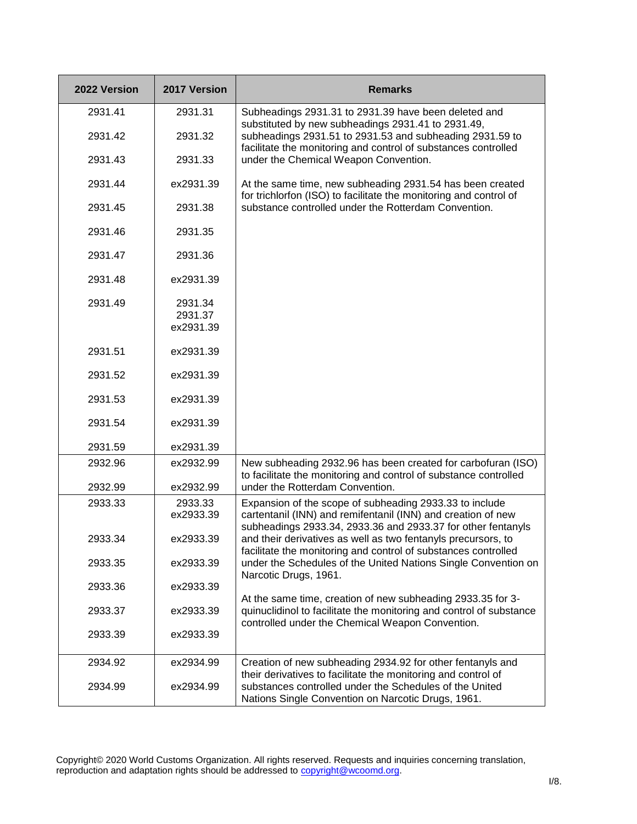| 2022 Version | 2017 Version                    | <b>Remarks</b>                                                                                                                                                                          |
|--------------|---------------------------------|-----------------------------------------------------------------------------------------------------------------------------------------------------------------------------------------|
| 2931.41      | 2931.31                         | Subheadings 2931.31 to 2931.39 have been deleted and                                                                                                                                    |
| 2931.42      | 2931.32                         | substituted by new subheadings 2931.41 to 2931.49,<br>subheadings 2931.51 to 2931.53 and subheading 2931.59 to<br>facilitate the monitoring and control of substances controlled        |
| 2931.43      | 2931.33                         | under the Chemical Weapon Convention.                                                                                                                                                   |
| 2931.44      | ex2931.39                       | At the same time, new subheading 2931.54 has been created<br>for trichlorfon (ISO) to facilitate the monitoring and control of                                                          |
| 2931.45      | 2931.38                         | substance controlled under the Rotterdam Convention.                                                                                                                                    |
| 2931.46      | 2931.35                         |                                                                                                                                                                                         |
| 2931.47      | 2931.36                         |                                                                                                                                                                                         |
| 2931.48      | ex2931.39                       |                                                                                                                                                                                         |
| 2931.49      | 2931.34<br>2931.37<br>ex2931.39 |                                                                                                                                                                                         |
| 2931.51      | ex2931.39                       |                                                                                                                                                                                         |
| 2931.52      | ex2931.39                       |                                                                                                                                                                                         |
| 2931.53      | ex2931.39                       |                                                                                                                                                                                         |
| 2931.54      | ex2931.39                       |                                                                                                                                                                                         |
| 2931.59      | ex2931.39                       |                                                                                                                                                                                         |
| 2932.96      | ex2932.99                       | New subheading 2932.96 has been created for carbofuran (ISO)<br>to facilitate the monitoring and control of substance controlled                                                        |
| 2932.99      | ex2932.99                       | under the Rotterdam Convention.                                                                                                                                                         |
| 2933.33      | 2933.33<br>ex2933.39            | Expansion of the scope of subheading 2933.33 to include<br>cartentanil (INN) and remifentanil (INN) and creation of new<br>subheadings 2933.34, 2933.36 and 2933.37 for other fentanyls |
| 2933.34      | ex2933.39                       | and their derivatives as well as two fentanyls precursors, to<br>facilitate the monitoring and control of substances controlled                                                         |
| 2933.35      | ex2933.39                       | under the Schedules of the United Nations Single Convention on<br>Narcotic Drugs, 1961.                                                                                                 |
| 2933.36      | ex2933.39                       | At the same time, creation of new subheading 2933.35 for 3-                                                                                                                             |
| 2933.37      | ex2933.39                       | quinuclidinol to facilitate the monitoring and control of substance<br>controlled under the Chemical Weapon Convention.                                                                 |
| 2933.39      | ex2933.39                       |                                                                                                                                                                                         |
| 2934.92      | ex2934.99                       | Creation of new subheading 2934.92 for other fentanyls and<br>their derivatives to facilitate the monitoring and control of                                                             |
| 2934.99      | ex2934.99                       | substances controlled under the Schedules of the United<br>Nations Single Convention on Narcotic Drugs, 1961.                                                                           |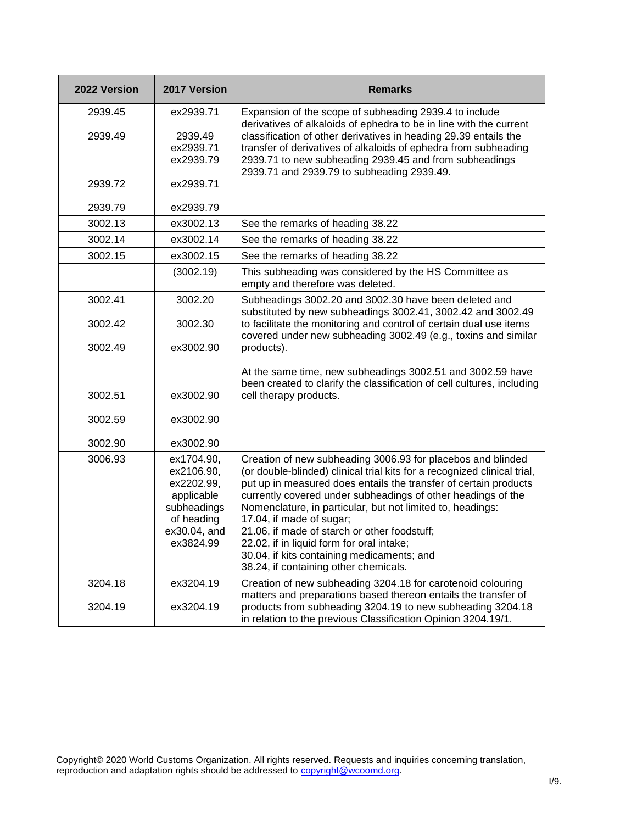| 2022 Version | 2017 Version                                                                                                   | <b>Remarks</b>                                                                                                                                                                                                                                                                                                                                                                                                                                                                                                                                            |
|--------------|----------------------------------------------------------------------------------------------------------------|-----------------------------------------------------------------------------------------------------------------------------------------------------------------------------------------------------------------------------------------------------------------------------------------------------------------------------------------------------------------------------------------------------------------------------------------------------------------------------------------------------------------------------------------------------------|
| 2939.45      | ex2939.71                                                                                                      | Expansion of the scope of subheading 2939.4 to include                                                                                                                                                                                                                                                                                                                                                                                                                                                                                                    |
| 2939.49      | 2939.49                                                                                                        | derivatives of alkaloids of ephedra to be in line with the current<br>classification of other derivatives in heading 29.39 entails the                                                                                                                                                                                                                                                                                                                                                                                                                    |
|              | ex2939.71                                                                                                      | transfer of derivatives of alkaloids of ephedra from subheading                                                                                                                                                                                                                                                                                                                                                                                                                                                                                           |
|              | ex2939.79                                                                                                      | 2939.71 to new subheading 2939.45 and from subheadings<br>2939.71 and 2939.79 to subheading 2939.49.                                                                                                                                                                                                                                                                                                                                                                                                                                                      |
| 2939.72      | ex2939.71                                                                                                      |                                                                                                                                                                                                                                                                                                                                                                                                                                                                                                                                                           |
| 2939.79      | ex2939.79                                                                                                      |                                                                                                                                                                                                                                                                                                                                                                                                                                                                                                                                                           |
| 3002.13      | ex3002.13                                                                                                      | See the remarks of heading 38.22                                                                                                                                                                                                                                                                                                                                                                                                                                                                                                                          |
| 3002.14      | ex3002.14                                                                                                      | See the remarks of heading 38.22                                                                                                                                                                                                                                                                                                                                                                                                                                                                                                                          |
| 3002.15      | ex3002.15                                                                                                      | See the remarks of heading 38.22                                                                                                                                                                                                                                                                                                                                                                                                                                                                                                                          |
|              | (3002.19)                                                                                                      | This subheading was considered by the HS Committee as<br>empty and therefore was deleted.                                                                                                                                                                                                                                                                                                                                                                                                                                                                 |
| 3002.41      | 3002.20                                                                                                        | Subheadings 3002.20 and 3002.30 have been deleted and<br>substituted by new subheadings 3002.41, 3002.42 and 3002.49                                                                                                                                                                                                                                                                                                                                                                                                                                      |
| 3002.42      | 3002.30                                                                                                        | to facilitate the monitoring and control of certain dual use items<br>covered under new subheading 3002.49 (e.g., toxins and similar                                                                                                                                                                                                                                                                                                                                                                                                                      |
| 3002.49      | ex3002.90                                                                                                      | products).                                                                                                                                                                                                                                                                                                                                                                                                                                                                                                                                                |
|              |                                                                                                                | At the same time, new subheadings 3002.51 and 3002.59 have<br>been created to clarify the classification of cell cultures, including                                                                                                                                                                                                                                                                                                                                                                                                                      |
| 3002.51      | ex3002.90                                                                                                      | cell therapy products.                                                                                                                                                                                                                                                                                                                                                                                                                                                                                                                                    |
| 3002.59      | ex3002.90                                                                                                      |                                                                                                                                                                                                                                                                                                                                                                                                                                                                                                                                                           |
| 3002.90      | ex3002.90                                                                                                      |                                                                                                                                                                                                                                                                                                                                                                                                                                                                                                                                                           |
| 3006.93      | ex1704.90,<br>ex2106.90,<br>ex2202.99,<br>applicable<br>subheadings<br>of heading<br>ex30.04, and<br>ex3824.99 | Creation of new subheading 3006.93 for placebos and blinded<br>(or double-blinded) clinical trial kits for a recognized clinical trial,<br>put up in measured does entails the transfer of certain products<br>currently covered under subheadings of other headings of the<br>Nomenclature, in particular, but not limited to, headings:<br>17.04, if made of sugar;<br>21.06, if made of starch or other foodstuff;<br>22.02, if in liquid form for oral intake;<br>30.04, if kits containing medicaments; and<br>38.24, if containing other chemicals. |
| 3204.18      | ex3204.19                                                                                                      | Creation of new subheading 3204.18 for carotenoid colouring<br>matters and preparations based thereon entails the transfer of                                                                                                                                                                                                                                                                                                                                                                                                                             |
| 3204.19      | ex3204.19                                                                                                      | products from subheading 3204.19 to new subheading 3204.18<br>in relation to the previous Classification Opinion 3204.19/1.                                                                                                                                                                                                                                                                                                                                                                                                                               |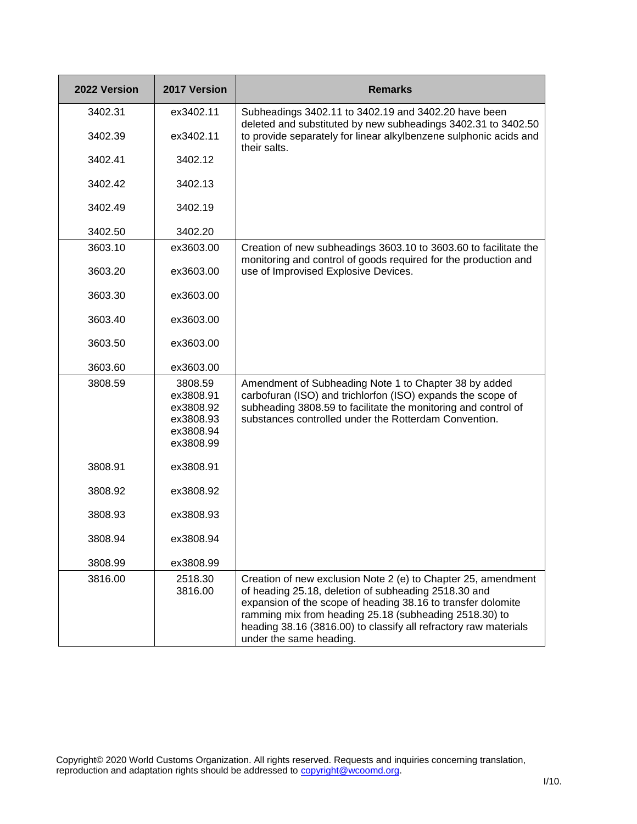| 2022 Version | 2017 Version                                                             | <b>Remarks</b>                                                                                                                                                                                                                                                                                                                                 |
|--------------|--------------------------------------------------------------------------|------------------------------------------------------------------------------------------------------------------------------------------------------------------------------------------------------------------------------------------------------------------------------------------------------------------------------------------------|
| 3402.31      | ex3402.11                                                                | Subheadings 3402.11 to 3402.19 and 3402.20 have been                                                                                                                                                                                                                                                                                           |
| 3402.39      | ex3402.11                                                                | deleted and substituted by new subheadings 3402.31 to 3402.50<br>to provide separately for linear alkylbenzene sulphonic acids and<br>their salts.                                                                                                                                                                                             |
| 3402.41      | 3402.12                                                                  |                                                                                                                                                                                                                                                                                                                                                |
| 3402.42      | 3402.13                                                                  |                                                                                                                                                                                                                                                                                                                                                |
| 3402.49      | 3402.19                                                                  |                                                                                                                                                                                                                                                                                                                                                |
| 3402.50      | 3402.20                                                                  |                                                                                                                                                                                                                                                                                                                                                |
| 3603.10      | ex3603.00                                                                | Creation of new subheadings 3603.10 to 3603.60 to facilitate the                                                                                                                                                                                                                                                                               |
| 3603.20      | ex3603.00                                                                | monitoring and control of goods required for the production and<br>use of Improvised Explosive Devices.                                                                                                                                                                                                                                        |
| 3603.30      | ex3603.00                                                                |                                                                                                                                                                                                                                                                                                                                                |
| 3603.40      | ex3603.00                                                                |                                                                                                                                                                                                                                                                                                                                                |
| 3603.50      | ex3603.00                                                                |                                                                                                                                                                                                                                                                                                                                                |
| 3603.60      | ex3603.00                                                                |                                                                                                                                                                                                                                                                                                                                                |
| 3808.59      | 3808.59<br>ex3808.91<br>ex3808.92<br>ex3808.93<br>ex3808.94<br>ex3808.99 | Amendment of Subheading Note 1 to Chapter 38 by added<br>carbofuran (ISO) and trichlorfon (ISO) expands the scope of<br>subheading 3808.59 to facilitate the monitoring and control of<br>substances controlled under the Rotterdam Convention.                                                                                                |
| 3808.91      | ex3808.91                                                                |                                                                                                                                                                                                                                                                                                                                                |
| 3808.92      | ex3808.92                                                                |                                                                                                                                                                                                                                                                                                                                                |
| 3808.93      | ex3808.93                                                                |                                                                                                                                                                                                                                                                                                                                                |
| 3808.94      | ex3808.94                                                                |                                                                                                                                                                                                                                                                                                                                                |
| 3808.99      | ex3808.99                                                                |                                                                                                                                                                                                                                                                                                                                                |
| 3816.00      | 2518.30<br>3816.00                                                       | Creation of new exclusion Note 2 (e) to Chapter 25, amendment<br>of heading 25.18, deletion of subheading 2518.30 and<br>expansion of the scope of heading 38.16 to transfer dolomite<br>ramming mix from heading 25.18 (subheading 2518.30) to<br>heading 38.16 (3816.00) to classify all refractory raw materials<br>under the same heading. |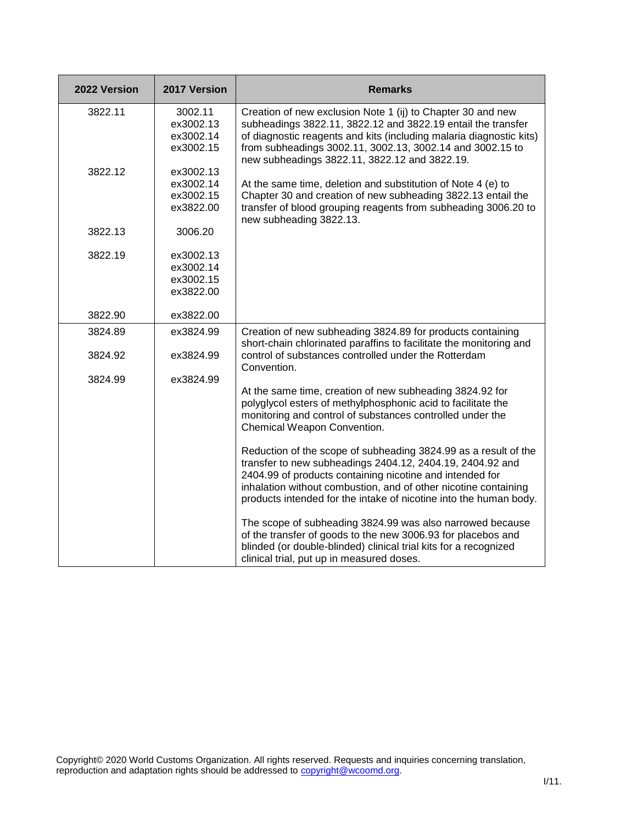| 2022 Version | 2017 Version                                     | <b>Remarks</b>                                                                                                                                                                                                                                                                                                                                                                                                                                                                                                                                                                                                                                                                                                                                                                                         |
|--------------|--------------------------------------------------|--------------------------------------------------------------------------------------------------------------------------------------------------------------------------------------------------------------------------------------------------------------------------------------------------------------------------------------------------------------------------------------------------------------------------------------------------------------------------------------------------------------------------------------------------------------------------------------------------------------------------------------------------------------------------------------------------------------------------------------------------------------------------------------------------------|
| 3822.11      | 3002.11<br>ex3002.13<br>ex3002.14<br>ex3002.15   | Creation of new exclusion Note 1 (ij) to Chapter 30 and new<br>subheadings 3822.11, 3822.12 and 3822.19 entail the transfer<br>of diagnostic reagents and kits (including malaria diagnostic kits)<br>from subheadings 3002.11, 3002.13, 3002.14 and 3002.15 to<br>new subheadings 3822.11, 3822.12 and 3822.19.                                                                                                                                                                                                                                                                                                                                                                                                                                                                                       |
| 3822.12      | ex3002.13<br>ex3002.14<br>ex3002.15<br>ex3822.00 | At the same time, deletion and substitution of Note 4 (e) to<br>Chapter 30 and creation of new subheading 3822.13 entail the<br>transfer of blood grouping reagents from subheading 3006.20 to<br>new subheading 3822.13.                                                                                                                                                                                                                                                                                                                                                                                                                                                                                                                                                                              |
| 3822.13      | 3006.20                                          |                                                                                                                                                                                                                                                                                                                                                                                                                                                                                                                                                                                                                                                                                                                                                                                                        |
| 3822.19      | ex3002.13<br>ex3002.14<br>ex3002.15<br>ex3822.00 |                                                                                                                                                                                                                                                                                                                                                                                                                                                                                                                                                                                                                                                                                                                                                                                                        |
| 3822.90      | ex3822.00                                        |                                                                                                                                                                                                                                                                                                                                                                                                                                                                                                                                                                                                                                                                                                                                                                                                        |
| 3824.89      | ex3824.99                                        | Creation of new subheading 3824.89 for products containing<br>short-chain chlorinated paraffins to facilitate the monitoring and                                                                                                                                                                                                                                                                                                                                                                                                                                                                                                                                                                                                                                                                       |
| 3824.92      | ex3824.99                                        | control of substances controlled under the Rotterdam<br>Convention.                                                                                                                                                                                                                                                                                                                                                                                                                                                                                                                                                                                                                                                                                                                                    |
| 3824.99      | ex3824.99                                        | At the same time, creation of new subheading 3824.92 for<br>polyglycol esters of methylphosphonic acid to facilitate the<br>monitoring and control of substances controlled under the<br>Chemical Weapon Convention.<br>Reduction of the scope of subheading 3824.99 as a result of the<br>transfer to new subheadings 2404.12, 2404.19, 2404.92 and<br>2404.99 of products containing nicotine and intended for<br>inhalation without combustion, and of other nicotine containing<br>products intended for the intake of nicotine into the human body.<br>The scope of subheading 3824.99 was also narrowed because<br>of the transfer of goods to the new 3006.93 for placebos and<br>blinded (or double-blinded) clinical trial kits for a recognized<br>clinical trial, put up in measured doses. |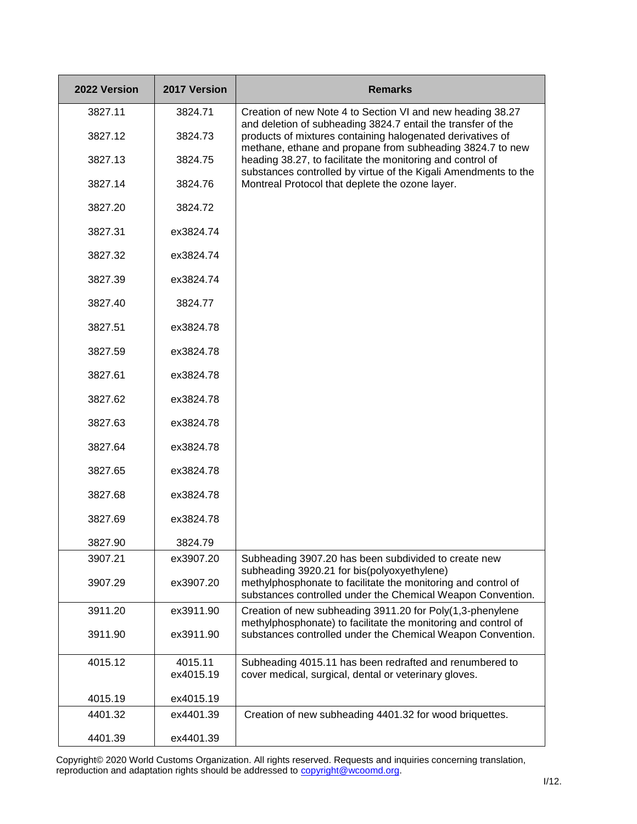| 2022 Version | 2017 Version         | <b>Remarks</b>                                                                                                                                                                             |
|--------------|----------------------|--------------------------------------------------------------------------------------------------------------------------------------------------------------------------------------------|
| 3827.11      | 3824.71              | Creation of new Note 4 to Section VI and new heading 38.27                                                                                                                                 |
| 3827.12      | 3824.73              | and deletion of subheading 3824.7 entail the transfer of the<br>products of mixtures containing halogenated derivatives of                                                                 |
| 3827.13      | 3824.75              | methane, ethane and propane from subheading 3824.7 to new<br>heading 38.27, to facilitate the monitoring and control of<br>substances controlled by virtue of the Kigali Amendments to the |
| 3827.14      | 3824.76              | Montreal Protocol that deplete the ozone layer.                                                                                                                                            |
| 3827.20      | 3824.72              |                                                                                                                                                                                            |
| 3827.31      | ex3824.74            |                                                                                                                                                                                            |
| 3827.32      | ex3824.74            |                                                                                                                                                                                            |
| 3827.39      | ex3824.74            |                                                                                                                                                                                            |
| 3827.40      | 3824.77              |                                                                                                                                                                                            |
| 3827.51      | ex3824.78            |                                                                                                                                                                                            |
| 3827.59      | ex3824.78            |                                                                                                                                                                                            |
| 3827.61      | ex3824.78            |                                                                                                                                                                                            |
| 3827.62      | ex3824.78            |                                                                                                                                                                                            |
| 3827.63      | ex3824.78            |                                                                                                                                                                                            |
| 3827.64      | ex3824.78            |                                                                                                                                                                                            |
| 3827.65      | ex3824.78            |                                                                                                                                                                                            |
| 3827.68      | ex3824.78            |                                                                                                                                                                                            |
| 3827.69      | ex3824.78            |                                                                                                                                                                                            |
| 3827.90      | 3824.79              |                                                                                                                                                                                            |
| 3907.21      | ex3907.20            | Subheading 3907.20 has been subdivided to create new<br>subheading 3920.21 for bis(polyoxyethylene)                                                                                        |
| 3907.29      | ex3907.20            | methylphosphonate to facilitate the monitoring and control of<br>substances controlled under the Chemical Weapon Convention.                                                               |
| 3911.20      | ex3911.90            | Creation of new subheading 3911.20 for Poly(1,3-phenylene                                                                                                                                  |
| 3911.90      | ex3911.90            | methylphosphonate) to facilitate the monitoring and control of<br>substances controlled under the Chemical Weapon Convention.                                                              |
| 4015.12      | 4015.11<br>ex4015.19 | Subheading 4015.11 has been redrafted and renumbered to<br>cover medical, surgical, dental or veterinary gloves.                                                                           |
| 4015.19      | ex4015.19            |                                                                                                                                                                                            |
| 4401.32      | ex4401.39            | Creation of new subheading 4401.32 for wood briquettes.                                                                                                                                    |
| 4401.39      | ex4401.39            |                                                                                                                                                                                            |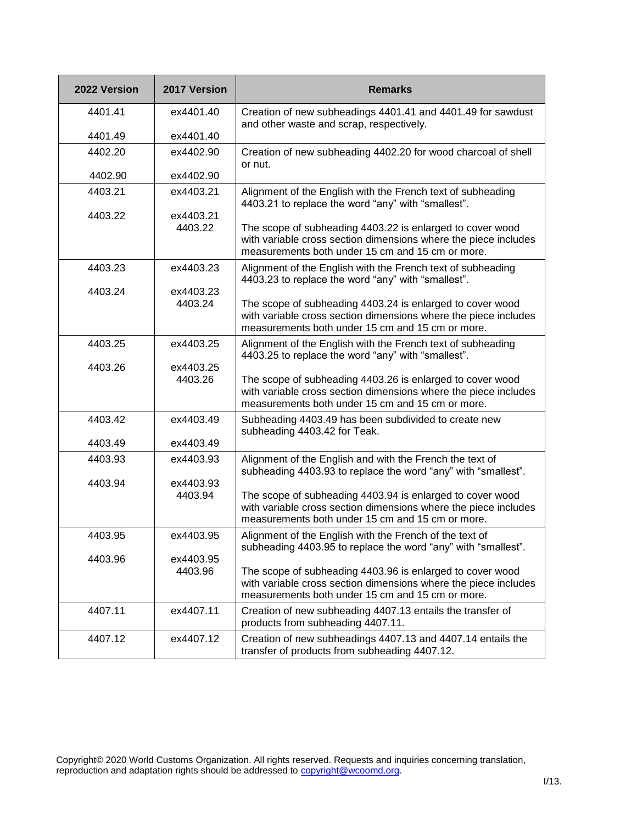| 2022 Version | 2017 Version         | <b>Remarks</b>                                                                                                                                                                   |
|--------------|----------------------|----------------------------------------------------------------------------------------------------------------------------------------------------------------------------------|
| 4401.41      | ex4401.40            | Creation of new subheadings 4401.41 and 4401.49 for sawdust<br>and other waste and scrap, respectively.                                                                          |
| 4401.49      | ex4401.40            |                                                                                                                                                                                  |
| 4402.20      | ex4402.90            | Creation of new subheading 4402.20 for wood charcoal of shell<br>or nut.                                                                                                         |
| 4402.90      | ex4402.90            |                                                                                                                                                                                  |
| 4403.21      | ex4403.21            | Alignment of the English with the French text of subheading<br>4403.21 to replace the word "any" with "smallest".                                                                |
| 4403.22      | ex4403.21<br>4403.22 | The scope of subheading 4403.22 is enlarged to cover wood<br>with variable cross section dimensions where the piece includes<br>measurements both under 15 cm and 15 cm or more. |
| 4403.23      | ex4403.23            | Alignment of the English with the French text of subheading<br>4403.23 to replace the word "any" with "smallest".                                                                |
| 4403.24      | ex4403.23<br>4403.24 | The scope of subheading 4403.24 is enlarged to cover wood<br>with variable cross section dimensions where the piece includes<br>measurements both under 15 cm and 15 cm or more. |
| 4403.25      | ex4403.25            | Alignment of the English with the French text of subheading<br>4403.25 to replace the word "any" with "smallest".                                                                |
| 4403.26      | ex4403.25<br>4403.26 | The scope of subheading 4403.26 is enlarged to cover wood<br>with variable cross section dimensions where the piece includes<br>measurements both under 15 cm and 15 cm or more. |
| 4403.42      | ex4403.49            | Subheading 4403.49 has been subdivided to create new<br>subheading 4403.42 for Teak.                                                                                             |
| 4403.49      | ex4403.49            |                                                                                                                                                                                  |
| 4403.93      | ex4403.93            | Alignment of the English and with the French the text of<br>subheading 4403.93 to replace the word "any" with "smallest".                                                        |
| 4403.94      | ex4403.93<br>4403.94 | The scope of subheading 4403.94 is enlarged to cover wood<br>with variable cross section dimensions where the piece includes<br>measurements both under 15 cm and 15 cm or more. |
| 4403.95      | ex4403.95            | Alignment of the English with the French of the text of<br>subheading 4403.95 to replace the word "any" with "smallest".                                                         |
| 4403.96      | ex4403.95<br>4403.96 | The scope of subheading 4403.96 is enlarged to cover wood<br>with variable cross section dimensions where the piece includes<br>measurements both under 15 cm and 15 cm or more. |
| 4407.11      | ex4407.11            | Creation of new subheading 4407.13 entails the transfer of<br>products from subheading 4407.11.                                                                                  |
| 4407.12      | ex4407.12            | Creation of new subheadings 4407.13 and 4407.14 entails the<br>transfer of products from subheading 4407.12.                                                                     |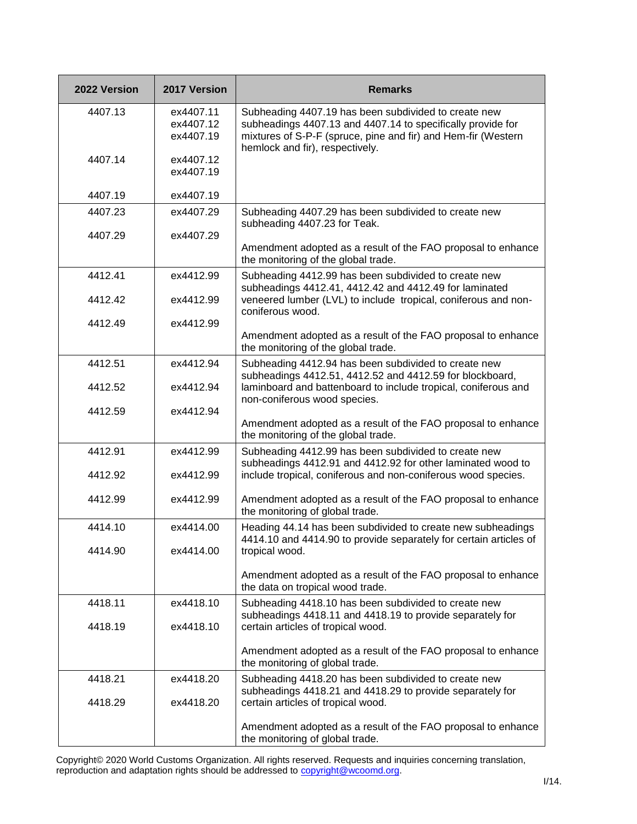| 2022 Version | 2017 Version                        | <b>Remarks</b>                                                                                                                                                                                                          |
|--------------|-------------------------------------|-------------------------------------------------------------------------------------------------------------------------------------------------------------------------------------------------------------------------|
| 4407.13      | ex4407.11<br>ex4407.12<br>ex4407.19 | Subheading 4407.19 has been subdivided to create new<br>subheadings 4407.13 and 4407.14 to specifically provide for<br>mixtures of S-P-F (spruce, pine and fir) and Hem-fir (Western<br>hemlock and fir), respectively. |
| 4407.14      | ex4407.12<br>ex4407.19              |                                                                                                                                                                                                                         |
| 4407.19      | ex4407.19                           |                                                                                                                                                                                                                         |
| 4407.23      | ex4407.29                           | Subheading 4407.29 has been subdivided to create new<br>subheading 4407.23 for Teak.                                                                                                                                    |
| 4407.29      | ex4407.29                           | Amendment adopted as a result of the FAO proposal to enhance<br>the monitoring of the global trade.                                                                                                                     |
| 4412.41      | ex4412.99                           | Subheading 4412.99 has been subdivided to create new                                                                                                                                                                    |
| 4412.42      | ex4412.99                           | subheadings 4412.41, 4412.42 and 4412.49 for laminated<br>veneered lumber (LVL) to include tropical, coniferous and non-<br>coniferous wood.                                                                            |
| 4412.49      | ex4412.99                           | Amendment adopted as a result of the FAO proposal to enhance<br>the monitoring of the global trade.                                                                                                                     |
| 4412.51      | ex4412.94                           | Subheading 4412.94 has been subdivided to create new                                                                                                                                                                    |
| 4412.52      | ex4412.94                           | subheadings 4412.51, 4412.52 and 4412.59 for blockboard,<br>laminboard and battenboard to include tropical, coniferous and<br>non-coniferous wood species.                                                              |
| 4412.59      | ex4412.94                           | Amendment adopted as a result of the FAO proposal to enhance                                                                                                                                                            |
|              |                                     | the monitoring of the global trade.                                                                                                                                                                                     |
| 4412.91      | ex4412.99                           | Subheading 4412.99 has been subdivided to create new<br>subheadings 4412.91 and 4412.92 for other laminated wood to                                                                                                     |
| 4412.92      | ex4412.99                           | include tropical, coniferous and non-coniferous wood species.                                                                                                                                                           |
| 4412.99      | ex4412.99                           | Amendment adopted as a result of the FAO proposal to enhance<br>the monitoring of global trade.                                                                                                                         |
| 4414.10      | ex4414.00                           | Heading 44.14 has been subdivided to create new subheadings<br>4414.10 and 4414.90 to provide separately for certain articles of                                                                                        |
| 4414.90      | ex4414.00                           | tropical wood.                                                                                                                                                                                                          |
|              |                                     | Amendment adopted as a result of the FAO proposal to enhance<br>the data on tropical wood trade.                                                                                                                        |
| 4418.11      | ex4418.10                           | Subheading 4418.10 has been subdivided to create new<br>subheadings 4418.11 and 4418.19 to provide separately for                                                                                                       |
| 4418.19      | ex4418.10                           | certain articles of tropical wood.                                                                                                                                                                                      |
|              |                                     | Amendment adopted as a result of the FAO proposal to enhance<br>the monitoring of global trade.                                                                                                                         |
| 4418.21      | ex4418.20                           | Subheading 4418.20 has been subdivided to create new<br>subheadings 4418.21 and 4418.29 to provide separately for                                                                                                       |
| 4418.29      | ex4418.20                           | certain articles of tropical wood.                                                                                                                                                                                      |
|              |                                     | Amendment adopted as a result of the FAO proposal to enhance<br>the monitoring of global trade.                                                                                                                         |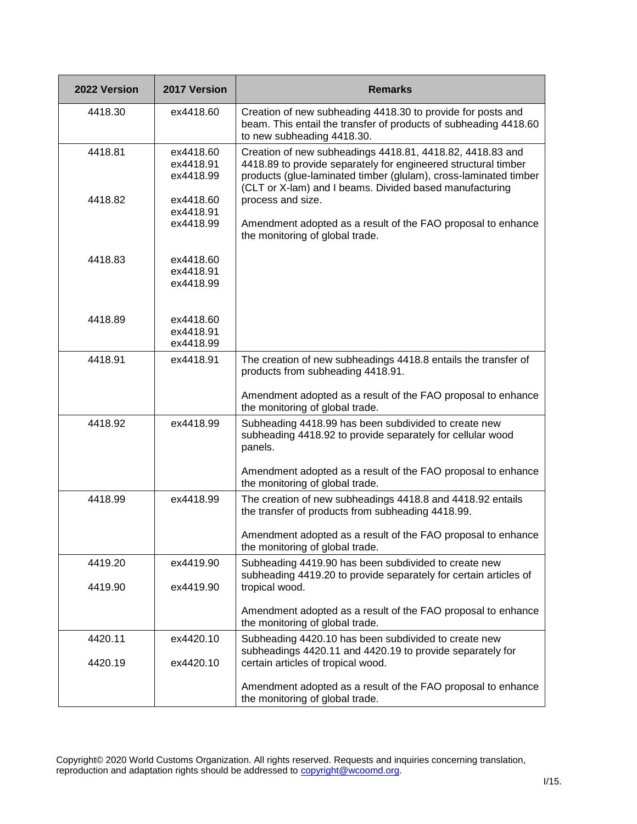| 2022 Version | 2017 Version                        | <b>Remarks</b>                                                                                                                                                                                                                                             |
|--------------|-------------------------------------|------------------------------------------------------------------------------------------------------------------------------------------------------------------------------------------------------------------------------------------------------------|
| 4418.30      | ex4418.60                           | Creation of new subheading 4418.30 to provide for posts and<br>beam. This entail the transfer of products of subheading 4418.60<br>to new subheading 4418.30.                                                                                              |
| 4418.81      | ex4418.60<br>ex4418.91<br>ex4418.99 | Creation of new subheadings 4418.81, 4418.82, 4418.83 and<br>4418.89 to provide separately for engineered structural timber<br>products (glue-laminated timber (glulam), cross-laminated timber<br>(CLT or X-lam) and I beams. Divided based manufacturing |
| 4418.82      | ex4418.60<br>ex4418.91<br>ex4418.99 | process and size.<br>Amendment adopted as a result of the FAO proposal to enhance<br>the monitoring of global trade.                                                                                                                                       |
| 4418.83      | ex4418.60<br>ex4418.91<br>ex4418.99 |                                                                                                                                                                                                                                                            |
| 4418.89      | ex4418.60<br>ex4418.91<br>ex4418.99 |                                                                                                                                                                                                                                                            |
| 4418.91      | ex4418.91                           | The creation of new subheadings 4418.8 entails the transfer of<br>products from subheading 4418.91.                                                                                                                                                        |
|              |                                     | Amendment adopted as a result of the FAO proposal to enhance<br>the monitoring of global trade.                                                                                                                                                            |
| 4418.92      | ex4418.99                           | Subheading 4418.99 has been subdivided to create new<br>subheading 4418.92 to provide separately for cellular wood<br>panels.                                                                                                                              |
|              |                                     | Amendment adopted as a result of the FAO proposal to enhance<br>the monitoring of global trade.                                                                                                                                                            |
| 4418.99      | ex4418.99                           | The creation of new subheadings 4418.8 and 4418.92 entails<br>the transfer of products from subheading 4418.99.                                                                                                                                            |
|              |                                     | Amendment adopted as a result of the FAO proposal to enhance<br>the monitoring of global trade.                                                                                                                                                            |
| 4419.20      | ex4419.90                           | Subheading 4419.90 has been subdivided to create new<br>subheading 4419.20 to provide separately for certain articles of                                                                                                                                   |
| 4419.90      | ex4419.90                           | tropical wood.                                                                                                                                                                                                                                             |
|              |                                     | Amendment adopted as a result of the FAO proposal to enhance<br>the monitoring of global trade.                                                                                                                                                            |
| 4420.11      | ex4420.10                           | Subheading 4420.10 has been subdivided to create new<br>subheadings 4420.11 and 4420.19 to provide separately for                                                                                                                                          |
| 4420.19      | ex4420.10                           | certain articles of tropical wood.                                                                                                                                                                                                                         |
|              |                                     | Amendment adopted as a result of the FAO proposal to enhance<br>the monitoring of global trade.                                                                                                                                                            |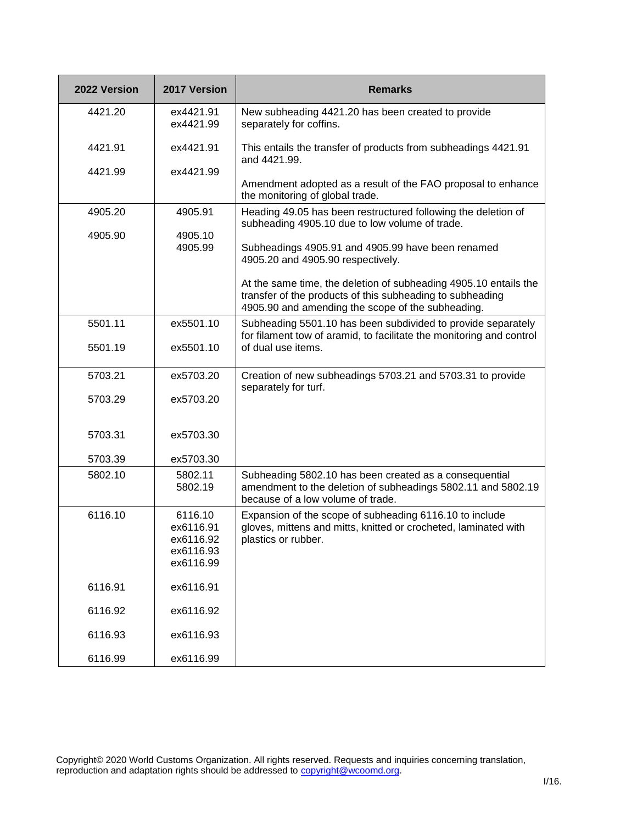| 2022 Version | 2017 Version                                                | <b>Remarks</b>                                                                                                                                                                     |
|--------------|-------------------------------------------------------------|------------------------------------------------------------------------------------------------------------------------------------------------------------------------------------|
| 4421.20      | ex4421.91<br>ex4421.99                                      | New subheading 4421.20 has been created to provide<br>separately for coffins.                                                                                                      |
| 4421.91      | ex4421.91                                                   | This entails the transfer of products from subheadings 4421.91<br>and 4421.99.                                                                                                     |
| 4421.99      | ex4421.99                                                   | Amendment adopted as a result of the FAO proposal to enhance<br>the monitoring of global trade.                                                                                    |
| 4905.20      | 4905.91                                                     | Heading 49.05 has been restructured following the deletion of<br>subheading 4905.10 due to low volume of trade.                                                                    |
| 4905.90      | 4905.10<br>4905.99                                          | Subheadings 4905.91 and 4905.99 have been renamed<br>4905.20 and 4905.90 respectively.                                                                                             |
|              |                                                             | At the same time, the deletion of subheading 4905.10 entails the<br>transfer of the products of this subheading to subheading<br>4905.90 and amending the scope of the subheading. |
| 5501.11      | ex5501.10                                                   | Subheading 5501.10 has been subdivided to provide separately<br>for filament tow of aramid, to facilitate the monitoring and control                                               |
| 5501.19      | ex5501.10                                                   | of dual use items.                                                                                                                                                                 |
| 5703.21      | ex5703.20                                                   | Creation of new subheadings 5703.21 and 5703.31 to provide<br>separately for turf.                                                                                                 |
| 5703.29      | ex5703.20                                                   |                                                                                                                                                                                    |
| 5703.31      | ex5703.30                                                   |                                                                                                                                                                                    |
| 5703.39      | ex5703.30                                                   |                                                                                                                                                                                    |
| 5802.10      | 5802.11<br>5802.19                                          | Subheading 5802.10 has been created as a consequential<br>amendment to the deletion of subheadings 5802.11 and 5802.19<br>because of a low volume of trade.                        |
| 6116.10      | 6116.10<br>ex6116.91<br>ex6116.92<br>ex6116.93<br>ex6116.99 | Expansion of the scope of subheading 6116.10 to include<br>gloves, mittens and mitts, knitted or crocheted, laminated with<br>plastics or rubber.                                  |
| 6116.91      | ex6116.91                                                   |                                                                                                                                                                                    |
| 6116.92      | ex6116.92                                                   |                                                                                                                                                                                    |
| 6116.93      | ex6116.93                                                   |                                                                                                                                                                                    |
| 6116.99      | ex6116.99                                                   |                                                                                                                                                                                    |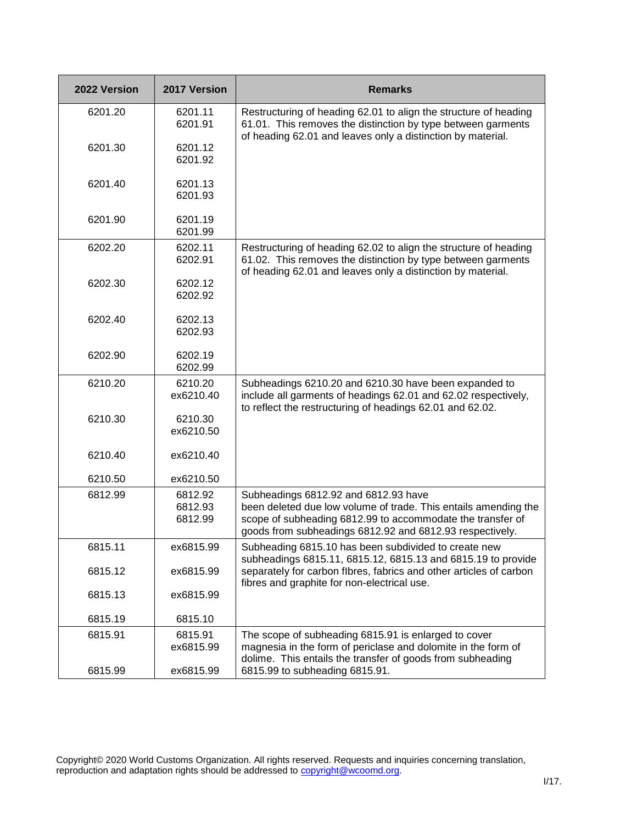| 2022 Version | 2017 Version         | <b>Remarks</b>                                                                                                                                                                                  |
|--------------|----------------------|-------------------------------------------------------------------------------------------------------------------------------------------------------------------------------------------------|
| 6201.20      | 6201.11<br>6201.91   | Restructuring of heading 62.01 to align the structure of heading<br>61.01. This removes the distinction by type between garments<br>of heading 62.01 and leaves only a distinction by material. |
| 6201.30      | 6201.12<br>6201.92   |                                                                                                                                                                                                 |
| 6201.40      | 6201.13<br>6201.93   |                                                                                                                                                                                                 |
| 6201.90      | 6201.19<br>6201.99   |                                                                                                                                                                                                 |
| 6202.20      | 6202.11<br>6202.91   | Restructuring of heading 62.02 to align the structure of heading<br>61.02. This removes the distinction by type between garments<br>of heading 62.01 and leaves only a distinction by material. |
| 6202.30      | 6202.12<br>6202.92   |                                                                                                                                                                                                 |
| 6202.40      | 6202.13<br>6202.93   |                                                                                                                                                                                                 |
| 6202.90      | 6202.19<br>6202.99   |                                                                                                                                                                                                 |
| 6210.20      | 6210.20<br>ex6210.40 | Subheadings 6210.20 and 6210.30 have been expanded to<br>include all garments of headings 62.01 and 62.02 respectively,<br>to reflect the restructuring of headings 62.01 and 62.02.            |
| 6210.30      | 6210.30<br>ex6210.50 |                                                                                                                                                                                                 |
| 6210.40      | ex6210.40            |                                                                                                                                                                                                 |
| 6210.50      | ex6210.50            |                                                                                                                                                                                                 |
| 6812.99      | 6812.92              | Subheadings 6812.92 and 6812.93 have                                                                                                                                                            |
|              | 6812.93<br>6812.99   | been deleted due low volume of trade. This entails amending the<br>scope of subheading 6812.99 to accommodate the transfer of<br>goods from subheadings 6812.92 and 6812.93 respectively.       |
| 6815.11      | ex6815.99            | Subheading 6815.10 has been subdivided to create new<br>subheadings 6815.11, 6815.12, 6815.13 and 6815.19 to provide                                                                            |
| 6815.12      | ex6815.99            | separately for carbon flbres, fabrics and other articles of carbon<br>fibres and graphite for non-electrical use.                                                                               |
| 6815.13      | ex6815.99            |                                                                                                                                                                                                 |
| 6815.19      | 6815.10              |                                                                                                                                                                                                 |
| 6815.91      | 6815.91              | The scope of subheading 6815.91 is enlarged to cover                                                                                                                                            |
|              | ex6815.99            | magnesia in the form of periclase and dolomite in the form of<br>dolime. This entails the transfer of goods from subheading                                                                     |
| 6815.99      | ex6815.99            | 6815.99 to subheading 6815.91.                                                                                                                                                                  |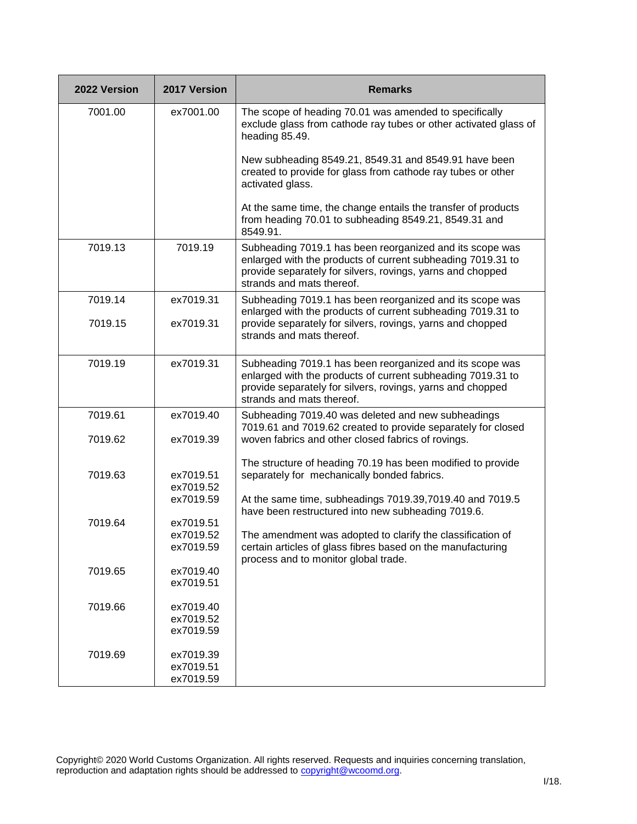| 2022 Version | 2017 Version           | <b>Remarks</b>                                                                                                                                                                                                     |
|--------------|------------------------|--------------------------------------------------------------------------------------------------------------------------------------------------------------------------------------------------------------------|
| 7001.00      | ex7001.00              | The scope of heading 70.01 was amended to specifically<br>exclude glass from cathode ray tubes or other activated glass of<br>heading 85.49.                                                                       |
|              |                        | New subheading 8549.21, 8549.31 and 8549.91 have been<br>created to provide for glass from cathode ray tubes or other<br>activated glass.                                                                          |
|              |                        | At the same time, the change entails the transfer of products<br>from heading 70.01 to subheading 8549.21, 8549.31 and<br>8549.91.                                                                                 |
| 7019.13      | 7019.19                | Subheading 7019.1 has been reorganized and its scope was<br>enlarged with the products of current subheading 7019.31 to<br>provide separately for silvers, rovings, yarns and chopped<br>strands and mats thereof. |
| 7019.14      | ex7019.31              | Subheading 7019.1 has been reorganized and its scope was                                                                                                                                                           |
| 7019.15      | ex7019.31              | enlarged with the products of current subheading 7019.31 to<br>provide separately for silvers, rovings, yarns and chopped<br>strands and mats thereof.                                                             |
| 7019.19      | ex7019.31              | Subheading 7019.1 has been reorganized and its scope was<br>enlarged with the products of current subheading 7019.31 to<br>provide separately for silvers, rovings, yarns and chopped<br>strands and mats thereof. |
| 7019.61      | ex7019.40              | Subheading 7019.40 was deleted and new subheadings<br>7019.61 and 7019.62 created to provide separately for closed                                                                                                 |
| 7019.62      | ex7019.39              | woven fabrics and other closed fabrics of rovings.                                                                                                                                                                 |
| 7019.63      | ex7019.51<br>ex7019.52 | The structure of heading 70.19 has been modified to provide<br>separately for mechanically bonded fabrics.                                                                                                         |
|              | ex7019.59              | At the same time, subheadings 7019.39,7019.40 and 7019.5<br>have been restructured into new subheading 7019.6.                                                                                                     |
| 7019.64      | ex7019.51              |                                                                                                                                                                                                                    |
|              | ex7019.52<br>ex7019.59 | The amendment was adopted to clarify the classification of<br>certain articles of glass fibres based on the manufacturing<br>process and to monitor global trade.                                                  |
| 7019.65      | ex7019.40              |                                                                                                                                                                                                                    |
|              | ex7019.51              |                                                                                                                                                                                                                    |
| 7019.66      | ex7019.40              |                                                                                                                                                                                                                    |
|              | ex7019.52<br>ex7019.59 |                                                                                                                                                                                                                    |
|              |                        |                                                                                                                                                                                                                    |
| 7019.69      | ex7019.39<br>ex7019.51 |                                                                                                                                                                                                                    |
|              | ex7019.59              |                                                                                                                                                                                                                    |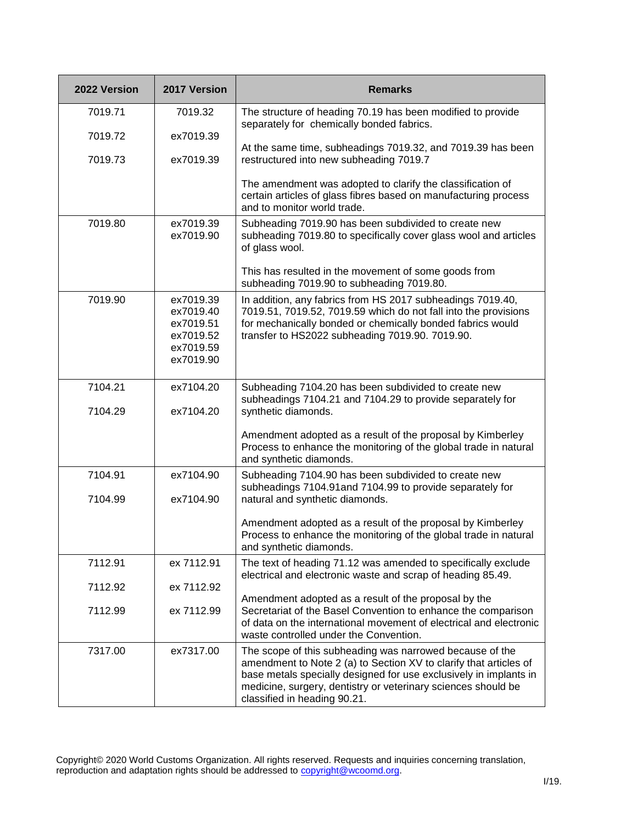| 2022 Version       | 2017 Version                                                               | <b>Remarks</b>                                                                                                                                                                                                                                                                                      |
|--------------------|----------------------------------------------------------------------------|-----------------------------------------------------------------------------------------------------------------------------------------------------------------------------------------------------------------------------------------------------------------------------------------------------|
| 7019.71            | 7019.32                                                                    | The structure of heading 70.19 has been modified to provide<br>separately for chemically bonded fabrics.                                                                                                                                                                                            |
| 7019.72            | ex7019.39                                                                  | At the same time, subheadings 7019.32, and 7019.39 has been                                                                                                                                                                                                                                         |
| 7019.73            | ex7019.39                                                                  | restructured into new subheading 7019.7                                                                                                                                                                                                                                                             |
|                    |                                                                            | The amendment was adopted to clarify the classification of<br>certain articles of glass fibres based on manufacturing process<br>and to monitor world trade.                                                                                                                                        |
| 7019.80            | ex7019.39<br>ex7019.90                                                     | Subheading 7019.90 has been subdivided to create new<br>subheading 7019.80 to specifically cover glass wool and articles<br>of glass wool.                                                                                                                                                          |
|                    |                                                                            | This has resulted in the movement of some goods from<br>subheading 7019.90 to subheading 7019.80.                                                                                                                                                                                                   |
| 7019.90            | ex7019.39<br>ex7019.40<br>ex7019.51<br>ex7019.52<br>ex7019.59<br>ex7019.90 | In addition, any fabrics from HS 2017 subheadings 7019.40,<br>7019.51, 7019.52, 7019.59 which do not fall into the provisions<br>for mechanically bonded or chemically bonded fabrics would<br>transfer to HS2022 subheading 7019.90. 7019.90.                                                      |
| 7104.21<br>7104.29 | ex7104.20<br>ex7104.20                                                     | Subheading 7104.20 has been subdivided to create new<br>subheadings 7104.21 and 7104.29 to provide separately for<br>synthetic diamonds.                                                                                                                                                            |
|                    |                                                                            | Amendment adopted as a result of the proposal by Kimberley<br>Process to enhance the monitoring of the global trade in natural<br>and synthetic diamonds.                                                                                                                                           |
| 7104.91            | ex7104.90                                                                  | Subheading 7104.90 has been subdivided to create new<br>subheadings 7104.91 and 7104.99 to provide separately for                                                                                                                                                                                   |
| 7104.99            | ex7104.90                                                                  | natural and synthetic diamonds.                                                                                                                                                                                                                                                                     |
|                    |                                                                            | Amendment adopted as a result of the proposal by Kimberley<br>Process to enhance the monitoring of the global trade in natural<br>and synthetic diamonds.                                                                                                                                           |
| 7112.91            | ex 7112.91                                                                 | The text of heading 71.12 was amended to specifically exclude<br>electrical and electronic waste and scrap of heading 85.49.                                                                                                                                                                        |
| 7112.92            | ex 7112.92                                                                 |                                                                                                                                                                                                                                                                                                     |
| 7112.99            | ex 7112.99                                                                 | Amendment adopted as a result of the proposal by the<br>Secretariat of the Basel Convention to enhance the comparison<br>of data on the international movement of electrical and electronic<br>waste controlled under the Convention.                                                               |
| 7317.00            | ex7317.00                                                                  | The scope of this subheading was narrowed because of the<br>amendment to Note 2 (a) to Section XV to clarify that articles of<br>base metals specially designed for use exclusively in implants in<br>medicine, surgery, dentistry or veterinary sciences should be<br>classified in heading 90.21. |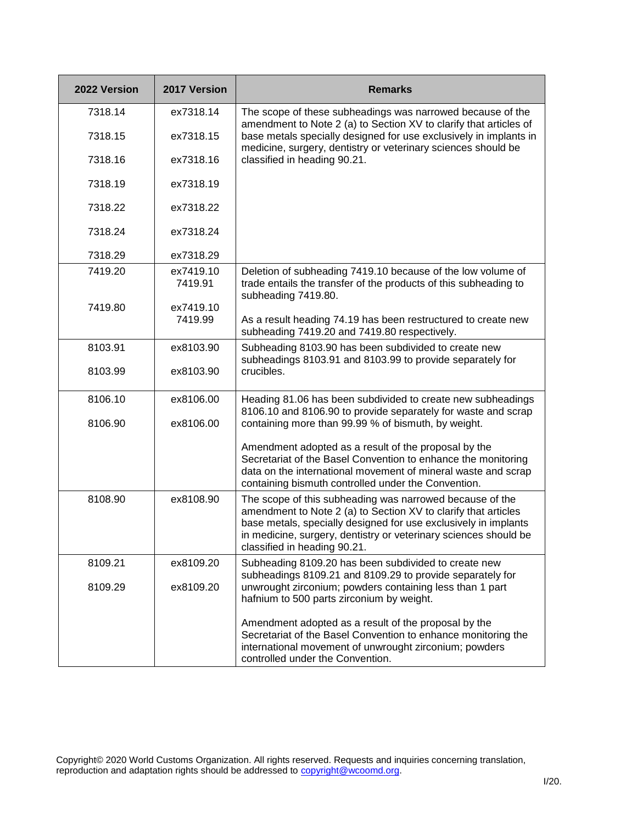| 2022 Version | 2017 Version         | <b>Remarks</b>                                                                                                                                                                                                                                                                                    |
|--------------|----------------------|---------------------------------------------------------------------------------------------------------------------------------------------------------------------------------------------------------------------------------------------------------------------------------------------------|
| 7318.14      | ex7318.14            | The scope of these subheadings was narrowed because of the                                                                                                                                                                                                                                        |
| 7318.15      | ex7318.15            | amendment to Note 2 (a) to Section XV to clarify that articles of<br>base metals specially designed for use exclusively in implants in<br>medicine, surgery, dentistry or veterinary sciences should be                                                                                           |
| 7318.16      | ex7318.16            | classified in heading 90.21.                                                                                                                                                                                                                                                                      |
| 7318.19      | ex7318.19            |                                                                                                                                                                                                                                                                                                   |
| 7318.22      | ex7318.22            |                                                                                                                                                                                                                                                                                                   |
| 7318.24      | ex7318.24            |                                                                                                                                                                                                                                                                                                   |
| 7318.29      | ex7318.29            |                                                                                                                                                                                                                                                                                                   |
| 7419.20      | ex7419.10<br>7419.91 | Deletion of subheading 7419.10 because of the low volume of<br>trade entails the transfer of the products of this subheading to<br>subheading 7419.80.                                                                                                                                            |
| 7419.80      | ex7419.10<br>7419.99 | As a result heading 74.19 has been restructured to create new<br>subheading 7419.20 and 7419.80 respectively.                                                                                                                                                                                     |
| 8103.91      | ex8103.90            | Subheading 8103.90 has been subdivided to create new                                                                                                                                                                                                                                              |
| 8103.99      | ex8103.90            | subheadings 8103.91 and 8103.99 to provide separately for<br>crucibles.                                                                                                                                                                                                                           |
| 8106.10      | ex8106.00            | Heading 81.06 has been subdivided to create new subheadings<br>8106.10 and 8106.90 to provide separately for waste and scrap                                                                                                                                                                      |
| 8106.90      | ex8106.00            | containing more than 99.99 % of bismuth, by weight.                                                                                                                                                                                                                                               |
|              |                      | Amendment adopted as a result of the proposal by the<br>Secretariat of the Basel Convention to enhance the monitoring<br>data on the international movement of mineral waste and scrap<br>containing bismuth controlled under the Convention.                                                     |
| 8108.90      | ex8108.90            | The scope of this subheading was narrowed because of the<br>amendment to Note 2 (a) to Section XV to clarify that articles<br>base metals, specially designed for use exclusively in implants<br>in medicine, surgery, dentistry or veterinary sciences should be<br>classified in heading 90.21. |
| 8109.21      | ex8109.20            | Subheading 8109.20 has been subdivided to create new<br>subheadings 8109.21 and 8109.29 to provide separately for                                                                                                                                                                                 |
| 8109.29      | ex8109.20            | unwrought zirconium; powders containing less than 1 part<br>hafnium to 500 parts zirconium by weight.                                                                                                                                                                                             |
|              |                      | Amendment adopted as a result of the proposal by the<br>Secretariat of the Basel Convention to enhance monitoring the<br>international movement of unwrought zirconium; powders<br>controlled under the Convention.                                                                               |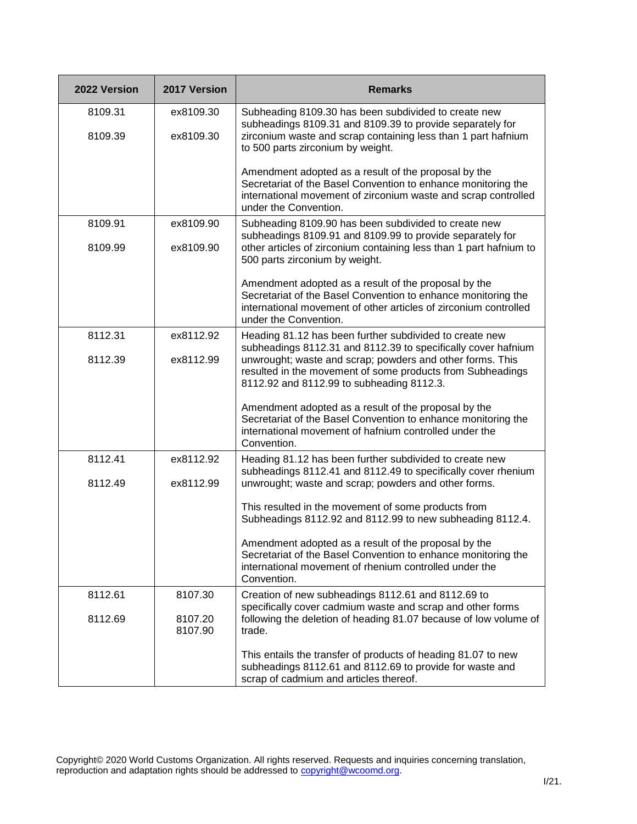| 2022 Version | 2017 Version       | <b>Remarks</b>                                                                                                                                                                                                     |
|--------------|--------------------|--------------------------------------------------------------------------------------------------------------------------------------------------------------------------------------------------------------------|
| 8109.31      | ex8109.30          | Subheading 8109.30 has been subdivided to create new                                                                                                                                                               |
| 8109.39      | ex8109.30          | subheadings 8109.31 and 8109.39 to provide separately for<br>zirconium waste and scrap containing less than 1 part hafnium<br>to 500 parts zirconium by weight.                                                    |
|              |                    | Amendment adopted as a result of the proposal by the<br>Secretariat of the Basel Convention to enhance monitoring the<br>international movement of zirconium waste and scrap controlled<br>under the Convention.   |
| 8109.91      | ex8109.90          | Subheading 8109.90 has been subdivided to create new<br>subheadings 8109.91 and 8109.99 to provide separately for                                                                                                  |
| 8109.99      | ex8109.90          | other articles of zirconium containing less than 1 part hafnium to<br>500 parts zirconium by weight.                                                                                                               |
|              |                    | Amendment adopted as a result of the proposal by the<br>Secretariat of the Basel Convention to enhance monitoring the<br>international movement of other articles of zirconium controlled<br>under the Convention. |
| 8112.31      | ex8112.92          | Heading 81.12 has been further subdivided to create new<br>subheadings 8112.31 and 8112.39 to specifically cover hafnium                                                                                           |
| 8112.39      | ex8112.99          | unwrought; waste and scrap; powders and other forms. This<br>resulted in the movement of some products from Subheadings<br>8112.92 and 8112.99 to subheading 8112.3.                                               |
|              |                    | Amendment adopted as a result of the proposal by the<br>Secretariat of the Basel Convention to enhance monitoring the<br>international movement of hafnium controlled under the<br>Convention.                     |
| 8112.41      | ex8112.92          | Heading 81.12 has been further subdivided to create new<br>subheadings 8112.41 and 8112.49 to specifically cover rhenium                                                                                           |
| 8112.49      | ex8112.99          | unwrought; waste and scrap; powders and other forms.                                                                                                                                                               |
|              |                    | This resulted in the movement of some products from<br>Subheadings 8112.92 and 8112.99 to new subheading 8112.4.                                                                                                   |
|              |                    | Amendment adopted as a result of the proposal by the<br>Secretariat of the Basel Convention to enhance monitoring the<br>international movement of rhenium controlled under the<br>Convention.                     |
| 8112.61      | 8107.30            | Creation of new subheadings 8112.61 and 8112.69 to<br>specifically cover cadmium waste and scrap and other forms                                                                                                   |
| 8112.69      | 8107.20<br>8107.90 | following the deletion of heading 81.07 because of low volume of<br>trade.                                                                                                                                         |
|              |                    | This entails the transfer of products of heading 81.07 to new<br>subheadings 8112.61 and 8112.69 to provide for waste and<br>scrap of cadmium and articles thereof.                                                |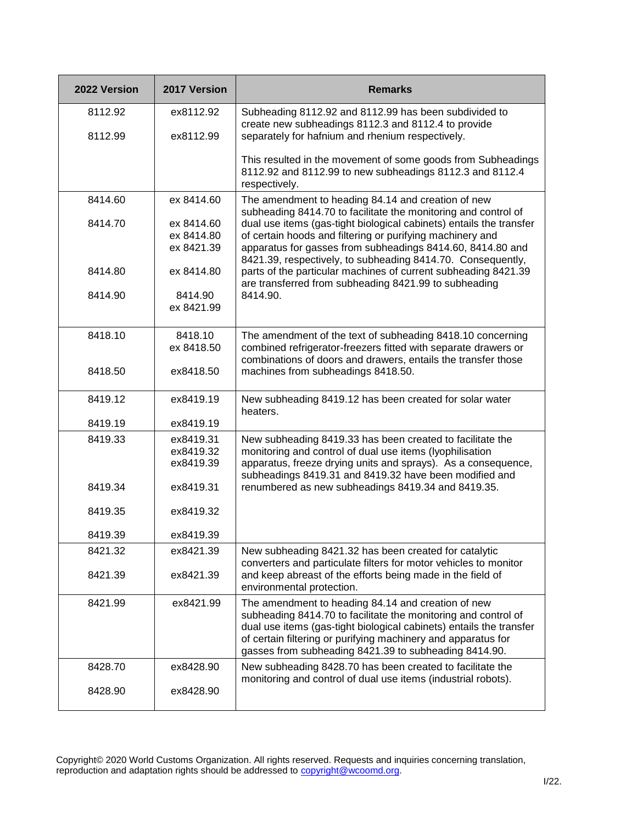| 2022 Version | 2017 Version                           | <b>Remarks</b>                                                                                                                                                                                                                                                                                                        |
|--------------|----------------------------------------|-----------------------------------------------------------------------------------------------------------------------------------------------------------------------------------------------------------------------------------------------------------------------------------------------------------------------|
| 8112.92      | ex8112.92                              | Subheading 8112.92 and 8112.99 has been subdivided to<br>create new subheadings 8112.3 and 8112.4 to provide                                                                                                                                                                                                          |
| 8112.99      | ex8112.99                              | separately for hafnium and rhenium respectively.                                                                                                                                                                                                                                                                      |
|              |                                        | This resulted in the movement of some goods from Subheadings<br>8112.92 and 8112.99 to new subheadings 8112.3 and 8112.4<br>respectively.                                                                                                                                                                             |
| 8414.60      | ex 8414.60                             | The amendment to heading 84.14 and creation of new<br>subheading 8414.70 to facilitate the monitoring and control of                                                                                                                                                                                                  |
| 8414.70      | ex 8414.60<br>ex 8414.80<br>ex 8421.39 | dual use items (gas-tight biological cabinets) entails the transfer<br>of certain hoods and filtering or purifying machinery and<br>apparatus for gasses from subheadings 8414.60, 8414.80 and                                                                                                                        |
| 8414.80      | ex 8414.80                             | 8421.39, respectively, to subheading 8414.70. Consequently,<br>parts of the particular machines of current subheading 8421.39<br>are transferred from subheading 8421.99 to subheading                                                                                                                                |
| 8414.90      | 8414.90<br>ex 8421.99                  | 8414.90.                                                                                                                                                                                                                                                                                                              |
| 8418.10      | 8418.10<br>ex 8418.50                  | The amendment of the text of subheading 8418.10 concerning<br>combined refrigerator-freezers fitted with separate drawers or<br>combinations of doors and drawers, entails the transfer those                                                                                                                         |
| 8418.50      | ex8418.50                              | machines from subheadings 8418.50.                                                                                                                                                                                                                                                                                    |
| 8419.12      | ex8419.19                              | New subheading 8419.12 has been created for solar water<br>heaters.                                                                                                                                                                                                                                                   |
| 8419.19      | ex8419.19                              |                                                                                                                                                                                                                                                                                                                       |
| 8419.33      | ex8419.31<br>ex8419.32<br>ex8419.39    | New subheading 8419.33 has been created to facilitate the<br>monitoring and control of dual use items (lyophilisation<br>apparatus, freeze drying units and sprays). As a consequence,<br>subheadings 8419.31 and 8419.32 have been modified and                                                                      |
| 8419.34      | ex8419.31                              | renumbered as new subheadings 8419.34 and 8419.35.                                                                                                                                                                                                                                                                    |
| 8419.35      | ex8419.32                              |                                                                                                                                                                                                                                                                                                                       |
| 8419.39      | ex8419.39                              |                                                                                                                                                                                                                                                                                                                       |
| 8421.32      | ex8421.39                              | New subheading 8421.32 has been created for catalytic<br>converters and particulate filters for motor vehicles to monitor                                                                                                                                                                                             |
| 8421.39      | ex8421.39                              | and keep abreast of the efforts being made in the field of<br>environmental protection.                                                                                                                                                                                                                               |
| 8421.99      | ex8421.99                              | The amendment to heading 84.14 and creation of new<br>subheading 8414.70 to facilitate the monitoring and control of<br>dual use items (gas-tight biological cabinets) entails the transfer<br>of certain filtering or purifying machinery and apparatus for<br>gasses from subheading 8421.39 to subheading 8414.90. |
| 8428.70      | ex8428.90                              | New subheading 8428.70 has been created to facilitate the<br>monitoring and control of dual use items (industrial robots).                                                                                                                                                                                            |
| 8428.90      | ex8428.90                              |                                                                                                                                                                                                                                                                                                                       |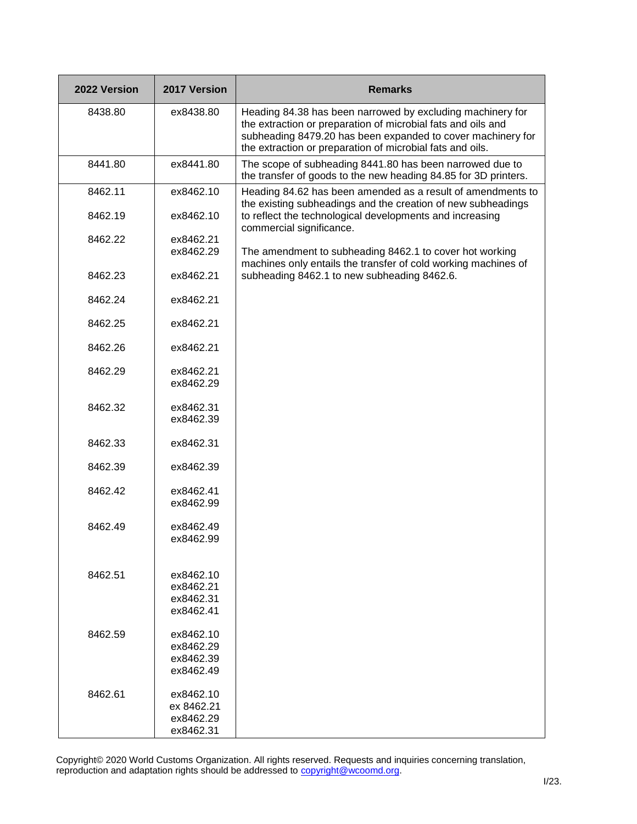| 2022 Version | 2017 Version                                      | <b>Remarks</b>                                                                                                                                                                                                                                         |
|--------------|---------------------------------------------------|--------------------------------------------------------------------------------------------------------------------------------------------------------------------------------------------------------------------------------------------------------|
| 8438.80      | ex8438.80                                         | Heading 84.38 has been narrowed by excluding machinery for<br>the extraction or preparation of microbial fats and oils and<br>subheading 8479.20 has been expanded to cover machinery for<br>the extraction or preparation of microbial fats and oils. |
| 8441.80      | ex8441.80                                         | The scope of subheading 8441.80 has been narrowed due to<br>the transfer of goods to the new heading 84.85 for 3D printers.                                                                                                                            |
| 8462.11      | ex8462.10                                         | Heading 84.62 has been amended as a result of amendments to<br>the existing subheadings and the creation of new subheadings                                                                                                                            |
| 8462.19      | ex8462.10                                         | to reflect the technological developments and increasing<br>commercial significance.                                                                                                                                                                   |
| 8462.22      | ex8462.21<br>ex8462.29                            | The amendment to subheading 8462.1 to cover hot working                                                                                                                                                                                                |
| 8462.23      | ex8462.21                                         | machines only entails the transfer of cold working machines of<br>subheading 8462.1 to new subheading 8462.6.                                                                                                                                          |
|              |                                                   |                                                                                                                                                                                                                                                        |
| 8462.24      | ex8462.21                                         |                                                                                                                                                                                                                                                        |
| 8462.25      | ex8462.21                                         |                                                                                                                                                                                                                                                        |
| 8462.26      | ex8462.21                                         |                                                                                                                                                                                                                                                        |
| 8462.29      | ex8462.21<br>ex8462.29                            |                                                                                                                                                                                                                                                        |
| 8462.32      | ex8462.31<br>ex8462.39                            |                                                                                                                                                                                                                                                        |
| 8462.33      | ex8462.31                                         |                                                                                                                                                                                                                                                        |
| 8462.39      | ex8462.39                                         |                                                                                                                                                                                                                                                        |
| 8462.42      | ex8462.41<br>ex8462.99                            |                                                                                                                                                                                                                                                        |
| 8462.49      | ex8462.49<br>ex8462.99                            |                                                                                                                                                                                                                                                        |
| 8462.51      | ex8462.10<br>ex8462.21<br>ex8462.31<br>ex8462.41  |                                                                                                                                                                                                                                                        |
| 8462.59      | ex8462.10<br>ex8462.29<br>ex8462.39<br>ex8462.49  |                                                                                                                                                                                                                                                        |
| 8462.61      | ex8462.10<br>ex 8462.21<br>ex8462.29<br>ex8462.31 |                                                                                                                                                                                                                                                        |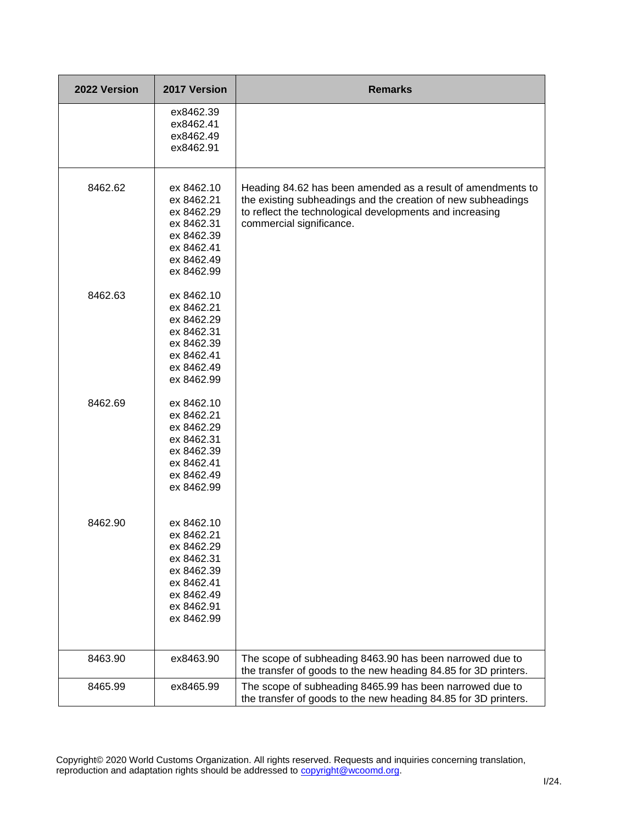| 2022 Version | 2017 Version                                                                                                               | <b>Remarks</b>                                                                                                                                                                                                      |
|--------------|----------------------------------------------------------------------------------------------------------------------------|---------------------------------------------------------------------------------------------------------------------------------------------------------------------------------------------------------------------|
|              | ex8462.39<br>ex8462.41<br>ex8462.49<br>ex8462.91                                                                           |                                                                                                                                                                                                                     |
| 8462.62      | ex 8462.10<br>ex 8462.21<br>ex 8462.29<br>ex 8462.31<br>ex 8462.39<br>ex 8462.41<br>ex 8462.49<br>ex 8462.99               | Heading 84.62 has been amended as a result of amendments to<br>the existing subheadings and the creation of new subheadings<br>to reflect the technological developments and increasing<br>commercial significance. |
| 8462.63      | ex 8462.10<br>ex 8462.21<br>ex 8462.29<br>ex 8462.31<br>ex 8462.39<br>ex 8462.41<br>ex 8462.49<br>ex 8462.99               |                                                                                                                                                                                                                     |
| 8462.69      | ex 8462.10<br>ex 8462.21<br>ex 8462.29<br>ex 8462.31<br>ex 8462.39<br>ex 8462.41<br>ex 8462.49<br>ex 8462.99               |                                                                                                                                                                                                                     |
| 8462.90      | ex 8462.10<br>ex 8462.21<br>ex 8462.29<br>ex 8462.31<br>ex 8462.39<br>ex 8462.41<br>ex 8462.49<br>ex 8462.91<br>ex 8462.99 |                                                                                                                                                                                                                     |
| 8463.90      | ex8463.90                                                                                                                  | The scope of subheading 8463.90 has been narrowed due to<br>the transfer of goods to the new heading 84.85 for 3D printers.                                                                                         |
| 8465.99      | ex8465.99                                                                                                                  | The scope of subheading 8465.99 has been narrowed due to<br>the transfer of goods to the new heading 84.85 for 3D printers.                                                                                         |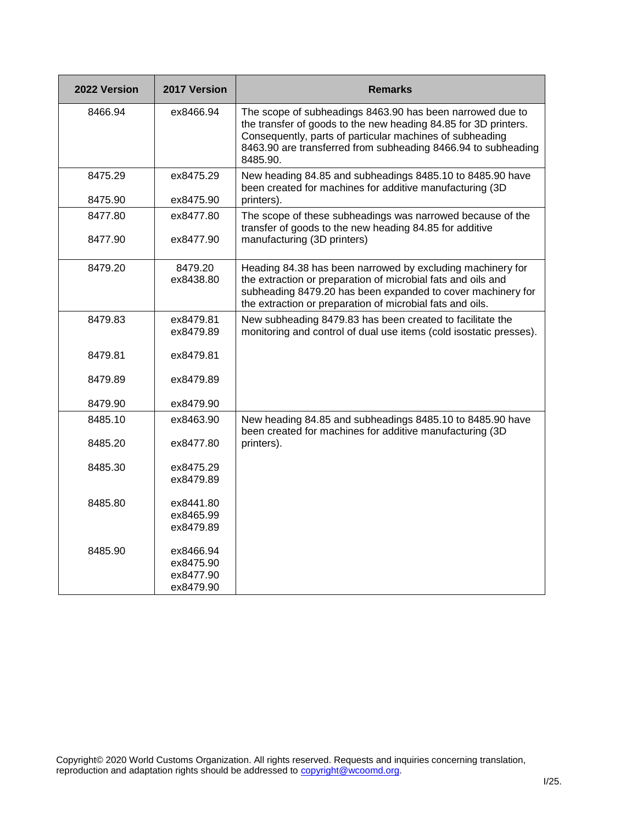| 2022 Version | 2017 Version           | <b>Remarks</b>                                                                                                                                                                                                                                                        |
|--------------|------------------------|-----------------------------------------------------------------------------------------------------------------------------------------------------------------------------------------------------------------------------------------------------------------------|
| 8466.94      | ex8466.94              | The scope of subheadings 8463.90 has been narrowed due to<br>the transfer of goods to the new heading 84.85 for 3D printers.<br>Consequently, parts of particular machines of subheading<br>8463.90 are transferred from subheading 8466.94 to subheading<br>8485.90. |
| 8475.29      | ex8475.29              | New heading 84.85 and subheadings 8485.10 to 8485.90 have<br>been created for machines for additive manufacturing (3D                                                                                                                                                 |
| 8475.90      | ex8475.90              | printers).                                                                                                                                                                                                                                                            |
| 8477.80      | ex8477.80              | The scope of these subheadings was narrowed because of the<br>transfer of goods to the new heading 84.85 for additive                                                                                                                                                 |
| 8477.90      | ex8477.90              | manufacturing (3D printers)                                                                                                                                                                                                                                           |
| 8479.20      | 8479.20<br>ex8438.80   | Heading 84.38 has been narrowed by excluding machinery for<br>the extraction or preparation of microbial fats and oils and<br>subheading 8479.20 has been expanded to cover machinery for<br>the extraction or preparation of microbial fats and oils.                |
| 8479.83      | ex8479.81<br>ex8479.89 | New subheading 8479.83 has been created to facilitate the<br>monitoring and control of dual use items (cold isostatic presses).                                                                                                                                       |
| 8479.81      | ex8479.81              |                                                                                                                                                                                                                                                                       |
| 8479.89      | ex8479.89              |                                                                                                                                                                                                                                                                       |
| 8479.90      | ex8479.90              |                                                                                                                                                                                                                                                                       |
| 8485.10      | ex8463.90              | New heading 84.85 and subheadings 8485.10 to 8485.90 have<br>been created for machines for additive manufacturing (3D                                                                                                                                                 |
| 8485.20      | ex8477.80              | printers).                                                                                                                                                                                                                                                            |
| 8485.30      | ex8475.29              |                                                                                                                                                                                                                                                                       |
|              | ex8479.89              |                                                                                                                                                                                                                                                                       |
| 8485.80      | ex8441.80              |                                                                                                                                                                                                                                                                       |
|              | ex8465.99              |                                                                                                                                                                                                                                                                       |
|              | ex8479.89              |                                                                                                                                                                                                                                                                       |
| 8485.90      | ex8466.94              |                                                                                                                                                                                                                                                                       |
|              | ex8475.90              |                                                                                                                                                                                                                                                                       |
|              | ex8477.90              |                                                                                                                                                                                                                                                                       |
|              | ex8479.90              |                                                                                                                                                                                                                                                                       |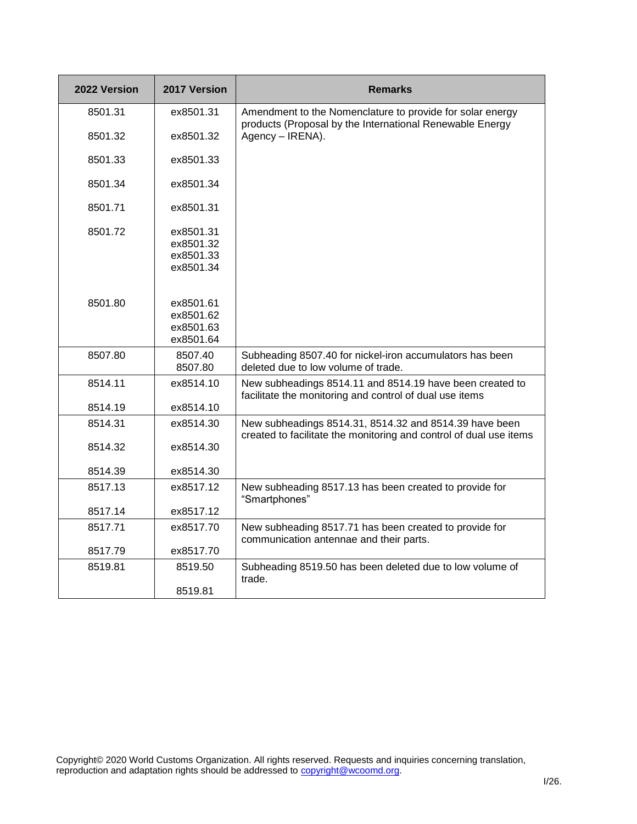| 2022 Version | 2017 Version                                     | <b>Remarks</b>                                                                                                               |
|--------------|--------------------------------------------------|------------------------------------------------------------------------------------------------------------------------------|
| 8501.31      | ex8501.31                                        | Amendment to the Nomenclature to provide for solar energy<br>products (Proposal by the International Renewable Energy        |
| 8501.32      | ex8501.32                                        | Agency - IRENA).                                                                                                             |
| 8501.33      | ex8501.33                                        |                                                                                                                              |
| 8501.34      | ex8501.34                                        |                                                                                                                              |
| 8501.71      | ex8501.31                                        |                                                                                                                              |
| 8501.72      | ex8501.31<br>ex8501.32<br>ex8501.33<br>ex8501.34 |                                                                                                                              |
| 8501.80      | ex8501.61<br>ex8501.62<br>ex8501.63<br>ex8501.64 |                                                                                                                              |
| 8507.80      | 8507.40<br>8507.80                               | Subheading 8507.40 for nickel-iron accumulators has been<br>deleted due to low volume of trade.                              |
| 8514.11      | ex8514.10                                        | New subheadings 8514.11 and 8514.19 have been created to<br>facilitate the monitoring and control of dual use items          |
| 8514.19      | ex8514.10                                        |                                                                                                                              |
| 8514.31      | ex8514.30                                        | New subheadings 8514.31, 8514.32 and 8514.39 have been<br>created to facilitate the monitoring and control of dual use items |
| 8514.32      | ex8514.30                                        |                                                                                                                              |
| 8514.39      | ex8514.30                                        |                                                                                                                              |
| 8517.13      | ex8517.12                                        | New subheading 8517.13 has been created to provide for<br>"Smartphones"                                                      |
| 8517.14      | ex8517.12                                        |                                                                                                                              |
| 8517.71      | ex8517.70                                        | New subheading 8517.71 has been created to provide for<br>communication antennae and their parts.                            |
| 8517.79      | ex8517.70                                        |                                                                                                                              |
| 8519.81      | 8519.50                                          | Subheading 8519.50 has been deleted due to low volume of<br>trade.                                                           |
|              | 8519.81                                          |                                                                                                                              |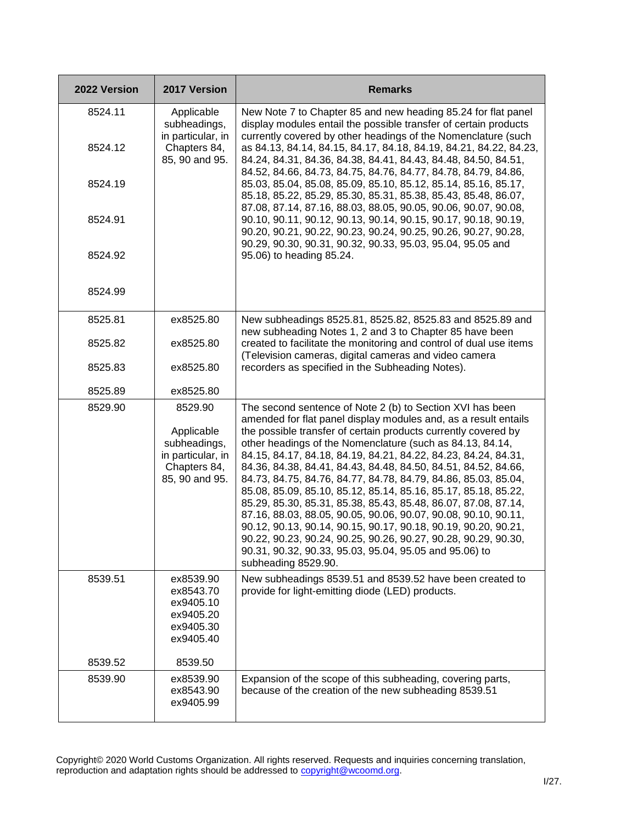| 2022 Version       | 2017 Version                                                                                 | <b>Remarks</b>                                                                                                                                                                                                                                                                                                                                                                                                                                                                                                                                                                                                                                                                                                                                                                                                                                                                               |
|--------------------|----------------------------------------------------------------------------------------------|----------------------------------------------------------------------------------------------------------------------------------------------------------------------------------------------------------------------------------------------------------------------------------------------------------------------------------------------------------------------------------------------------------------------------------------------------------------------------------------------------------------------------------------------------------------------------------------------------------------------------------------------------------------------------------------------------------------------------------------------------------------------------------------------------------------------------------------------------------------------------------------------|
| 8524.11<br>8524.12 | Applicable<br>subheadings,<br>in particular, in<br>Chapters 84,                              | New Note 7 to Chapter 85 and new heading 85.24 for flat panel<br>display modules entail the possible transfer of certain products<br>currently covered by other headings of the Nomenclature (such<br>as 84.13, 84.14, 84.15, 84.17, 84.18, 84.19, 84.21, 84.22, 84.23,                                                                                                                                                                                                                                                                                                                                                                                                                                                                                                                                                                                                                      |
| 8524.19            | 85, 90 and 95.                                                                               | 84.24, 84.31, 84.36, 84.38, 84.41, 84.43, 84.48, 84.50, 84.51,<br>84.52, 84.66, 84.73, 84.75, 84.76, 84.77, 84.78, 84.79, 84.86,<br>85.03, 85.04, 85.08, 85.09, 85.10, 85.12, 85.14, 85.16, 85.17,<br>85.18, 85.22, 85.29, 85.30, 85.31, 85.38, 85.43, 85.48, 86.07,                                                                                                                                                                                                                                                                                                                                                                                                                                                                                                                                                                                                                         |
| 8524.91            |                                                                                              | 87.08, 87.14, 87.16, 88.03, 88.05, 90.05, 90.06, 90.07, 90.08,<br>90.10, 90.11, 90.12, 90.13, 90.14, 90.15, 90.17, 90.18, 90.19,<br>90.20, 90.21, 90.22, 90.23, 90.24, 90.25, 90.26, 90.27, 90.28,<br>90.29, 90.30, 90.31, 90.32, 90.33, 95.03, 95.04, 95.05 and                                                                                                                                                                                                                                                                                                                                                                                                                                                                                                                                                                                                                             |
| 8524.92            |                                                                                              | 95.06) to heading 85.24.                                                                                                                                                                                                                                                                                                                                                                                                                                                                                                                                                                                                                                                                                                                                                                                                                                                                     |
| 8524.99            |                                                                                              |                                                                                                                                                                                                                                                                                                                                                                                                                                                                                                                                                                                                                                                                                                                                                                                                                                                                                              |
| 8525.81            | ex8525.80                                                                                    | New subheadings 8525.81, 8525.82, 8525.83 and 8525.89 and                                                                                                                                                                                                                                                                                                                                                                                                                                                                                                                                                                                                                                                                                                                                                                                                                                    |
| 8525.82            | ex8525.80                                                                                    | new subheading Notes 1, 2 and 3 to Chapter 85 have been<br>created to facilitate the monitoring and control of dual use items<br>(Television cameras, digital cameras and video camera                                                                                                                                                                                                                                                                                                                                                                                                                                                                                                                                                                                                                                                                                                       |
| 8525.83            | ex8525.80                                                                                    | recorders as specified in the Subheading Notes).                                                                                                                                                                                                                                                                                                                                                                                                                                                                                                                                                                                                                                                                                                                                                                                                                                             |
| 8525.89            | ex8525.80                                                                                    |                                                                                                                                                                                                                                                                                                                                                                                                                                                                                                                                                                                                                                                                                                                                                                                                                                                                                              |
| 8529.90            | 8529.90<br>Applicable<br>subheadings,<br>in particular, in<br>Chapters 84,<br>85, 90 and 95. | The second sentence of Note 2 (b) to Section XVI has been<br>amended for flat panel display modules and, as a result entails<br>the possible transfer of certain products currently covered by<br>other headings of the Nomenclature (such as 84.13, 84.14,<br>84.15, 84.17, 84.18, 84.19, 84.21, 84.22, 84.23, 84.24, 84.31,<br>84.36, 84.38, 84.41, 84.43, 84.48, 84.50, 84.51, 84.52, 84.66,<br>84.73, 84.75, 84.76, 84.77, 84.78, 84.79, 84.86, 85.03, 85.04,<br>85.08, 85.09, 85.10, 85.12, 85.14, 85.16, 85.17, 85.18, 85.22,<br>85.29, 85.30, 85.31, 85.38, 85.43, 85.48, 86.07, 87.08, 87.14,<br>87.16, 88.03, 88.05, 90.05, 90.06, 90.07, 90.08, 90.10, 90.11,<br>90.12, 90.13, 90.14, 90.15, 90.17, 90.18, 90.19, 90.20, 90.21,<br>90.22, 90.23, 90.24, 90.25, 90.26, 90.27, 90.28, 90.29, 90.30,<br>90.31, 90.32, 90.33, 95.03, 95.04, 95.05 and 95.06) to<br>subheading 8529.90. |
| 8539.51            | ex8539.90<br>ex8543.70<br>ex9405.10<br>ex9405.20<br>ex9405.30<br>ex9405.40                   | New subheadings 8539.51 and 8539.52 have been created to<br>provide for light-emitting diode (LED) products.                                                                                                                                                                                                                                                                                                                                                                                                                                                                                                                                                                                                                                                                                                                                                                                 |
| 8539.52            | 8539.50                                                                                      |                                                                                                                                                                                                                                                                                                                                                                                                                                                                                                                                                                                                                                                                                                                                                                                                                                                                                              |
| 8539.90            | ex8539.90<br>ex8543.90<br>ex9405.99                                                          | Expansion of the scope of this subheading, covering parts,<br>because of the creation of the new subheading 8539.51                                                                                                                                                                                                                                                                                                                                                                                                                                                                                                                                                                                                                                                                                                                                                                          |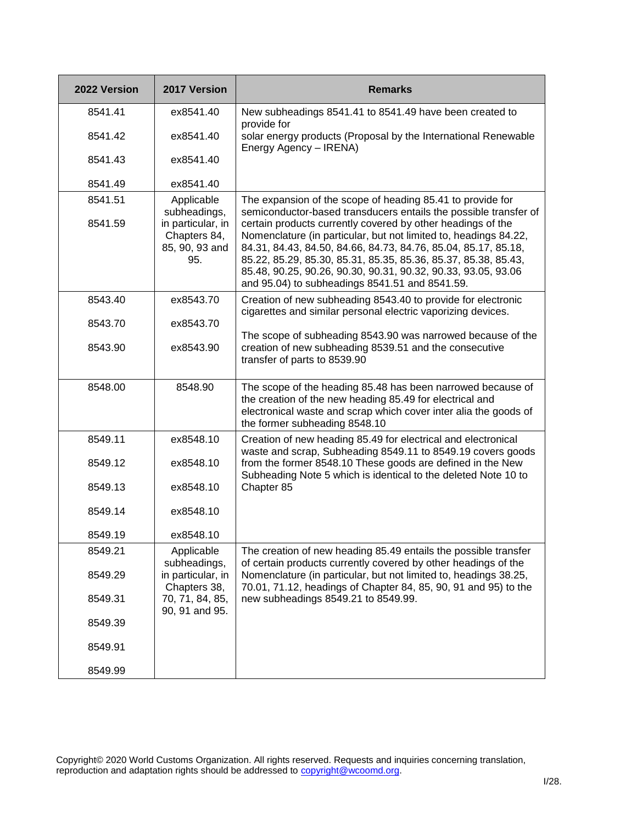| 2022 Version       | 2017 Version                                                                             | <b>Remarks</b>                                                                                                                                                                                                                                                                                                                                                                                                                                                                                                           |
|--------------------|------------------------------------------------------------------------------------------|--------------------------------------------------------------------------------------------------------------------------------------------------------------------------------------------------------------------------------------------------------------------------------------------------------------------------------------------------------------------------------------------------------------------------------------------------------------------------------------------------------------------------|
| 8541.41            | ex8541.40                                                                                | New subheadings 8541.41 to 8541.49 have been created to<br>provide for                                                                                                                                                                                                                                                                                                                                                                                                                                                   |
| 8541.42            | ex8541.40                                                                                | solar energy products (Proposal by the International Renewable<br>Energy Agency - IRENA)                                                                                                                                                                                                                                                                                                                                                                                                                                 |
| 8541.43            | ex8541.40                                                                                |                                                                                                                                                                                                                                                                                                                                                                                                                                                                                                                          |
| 8541.49            | ex8541.40                                                                                |                                                                                                                                                                                                                                                                                                                                                                                                                                                                                                                          |
| 8541.51<br>8541.59 | Applicable<br>subheadings,<br>in particular, in<br>Chapters 84,<br>85, 90, 93 and<br>95. | The expansion of the scope of heading 85.41 to provide for<br>semiconductor-based transducers entails the possible transfer of<br>certain products currently covered by other headings of the<br>Nomenclature (in particular, but not limited to, headings 84.22,<br>84.31, 84.43, 84.50, 84.66, 84.73, 84.76, 85.04, 85.17, 85.18,<br>85.22, 85.29, 85.30, 85.31, 85.35, 85.36, 85.37, 85.38, 85.43,<br>85.48, 90.25, 90.26, 90.30, 90.31, 90.32, 90.33, 93.05, 93.06<br>and 95.04) to subheadings 8541.51 and 8541.59. |
| 8543.40            | ex8543.70                                                                                | Creation of new subheading 8543.40 to provide for electronic<br>cigarettes and similar personal electric vaporizing devices.                                                                                                                                                                                                                                                                                                                                                                                             |
| 8543.70            | ex8543.70                                                                                |                                                                                                                                                                                                                                                                                                                                                                                                                                                                                                                          |
| 8543.90            | ex8543.90                                                                                | The scope of subheading 8543.90 was narrowed because of the<br>creation of new subheading 8539.51 and the consecutive<br>transfer of parts to 8539.90                                                                                                                                                                                                                                                                                                                                                                    |
| 8548.00            | 8548.90                                                                                  | The scope of the heading 85.48 has been narrowed because of<br>the creation of the new heading 85.49 for electrical and<br>electronical waste and scrap which cover inter alia the goods of<br>the former subheading 8548.10                                                                                                                                                                                                                                                                                             |
| 8549.11            | ex8548.10                                                                                | Creation of new heading 85.49 for electrical and electronical                                                                                                                                                                                                                                                                                                                                                                                                                                                            |
| 8549.12            | ex8548.10                                                                                | waste and scrap, Subheading 8549.11 to 8549.19 covers goods<br>from the former 8548.10 These goods are defined in the New<br>Subheading Note 5 which is identical to the deleted Note 10 to                                                                                                                                                                                                                                                                                                                              |
| 8549.13            | ex8548.10                                                                                | Chapter 85                                                                                                                                                                                                                                                                                                                                                                                                                                                                                                               |
| 8549.14            | ex8548.10                                                                                |                                                                                                                                                                                                                                                                                                                                                                                                                                                                                                                          |
| 8549.19            | ex8548.10                                                                                |                                                                                                                                                                                                                                                                                                                                                                                                                                                                                                                          |
| 8549.21            | Applicable<br>subheadings,                                                               | The creation of new heading 85.49 entails the possible transfer<br>of certain products currently covered by other headings of the                                                                                                                                                                                                                                                                                                                                                                                        |
| 8549.29            | in particular, in<br>Chapters 38,                                                        | Nomenclature (in particular, but not limited to, headings 38.25,<br>70.01, 71.12, headings of Chapter 84, 85, 90, 91 and 95) to the                                                                                                                                                                                                                                                                                                                                                                                      |
| 8549.31            | 70, 71, 84, 85,<br>90, 91 and 95.                                                        | new subheadings 8549.21 to 8549.99.                                                                                                                                                                                                                                                                                                                                                                                                                                                                                      |
| 8549.39            |                                                                                          |                                                                                                                                                                                                                                                                                                                                                                                                                                                                                                                          |
| 8549.91            |                                                                                          |                                                                                                                                                                                                                                                                                                                                                                                                                                                                                                                          |
| 8549.99            |                                                                                          |                                                                                                                                                                                                                                                                                                                                                                                                                                                                                                                          |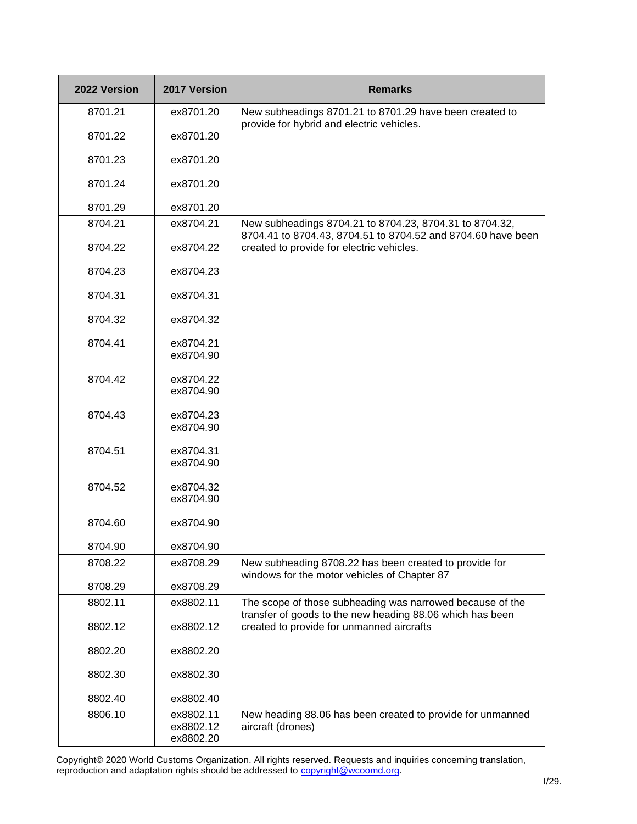| 2022 Version | 2017 Version                        | <b>Remarks</b>                                                                                                          |
|--------------|-------------------------------------|-------------------------------------------------------------------------------------------------------------------------|
| 8701.21      | ex8701.20                           | New subheadings 8701.21 to 8701.29 have been created to<br>provide for hybrid and electric vehicles.                    |
| 8701.22      | ex8701.20                           |                                                                                                                         |
| 8701.23      | ex8701.20                           |                                                                                                                         |
| 8701.24      | ex8701.20                           |                                                                                                                         |
| 8701.29      | ex8701.20                           |                                                                                                                         |
| 8704.21      | ex8704.21                           | New subheadings 8704.21 to 8704.23, 8704.31 to 8704.32,<br>8704.41 to 8704.43, 8704.51 to 8704.52 and 8704.60 have been |
| 8704.22      | ex8704.22                           | created to provide for electric vehicles.                                                                               |
| 8704.23      | ex8704.23                           |                                                                                                                         |
| 8704.31      | ex8704.31                           |                                                                                                                         |
| 8704.32      | ex8704.32                           |                                                                                                                         |
| 8704.41      | ex8704.21<br>ex8704.90              |                                                                                                                         |
| 8704.42      | ex8704.22<br>ex8704.90              |                                                                                                                         |
| 8704.43      | ex8704.23<br>ex8704.90              |                                                                                                                         |
| 8704.51      | ex8704.31<br>ex8704.90              |                                                                                                                         |
| 8704.52      | ex8704.32<br>ex8704.90              |                                                                                                                         |
| 8704.60      | ex8704.90                           |                                                                                                                         |
| 8704.90      | ex8704.90                           |                                                                                                                         |
| 8708.22      | ex8708.29                           | New subheading 8708.22 has been created to provide for<br>windows for the motor vehicles of Chapter 87                  |
| 8708.29      | ex8708.29                           |                                                                                                                         |
| 8802.11      | ex8802.11                           | The scope of those subheading was narrowed because of the<br>transfer of goods to the new heading 88.06 which has been  |
| 8802.12      | ex8802.12                           | created to provide for unmanned aircrafts                                                                               |
| 8802.20      | ex8802.20                           |                                                                                                                         |
| 8802.30      | ex8802.30                           |                                                                                                                         |
| 8802.40      | ex8802.40                           |                                                                                                                         |
| 8806.10      | ex8802.11<br>ex8802.12<br>ex8802.20 | New heading 88.06 has been created to provide for unmanned<br>aircraft (drones)                                         |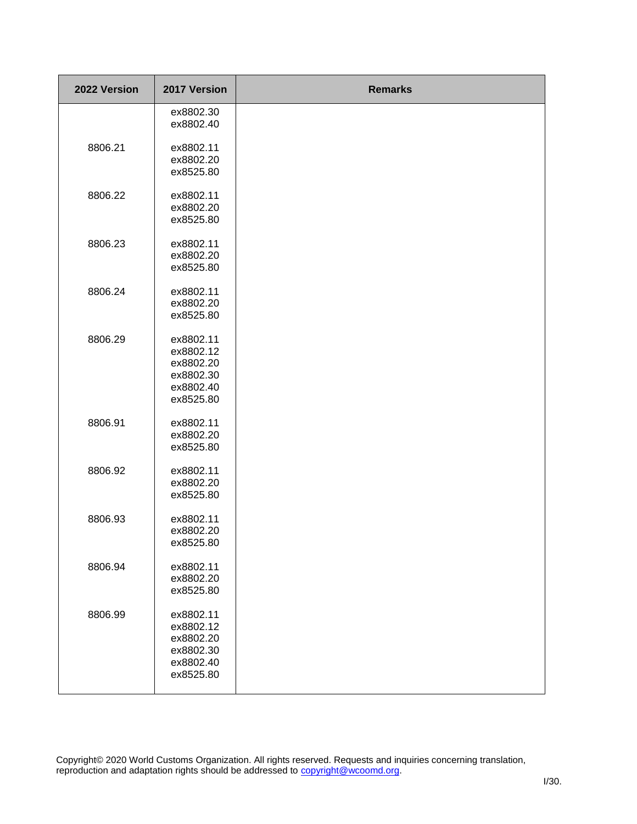| 2022 Version | 2017 Version                                                               | <b>Remarks</b> |
|--------------|----------------------------------------------------------------------------|----------------|
|              | ex8802.30<br>ex8802.40                                                     |                |
| 8806.21      | ex8802.11<br>ex8802.20<br>ex8525.80                                        |                |
| 8806.22      | ex8802.11<br>ex8802.20<br>ex8525.80                                        |                |
| 8806.23      | ex8802.11<br>ex8802.20<br>ex8525.80                                        |                |
| 8806.24      | ex8802.11<br>ex8802.20<br>ex8525.80                                        |                |
| 8806.29      | ex8802.11<br>ex8802.12<br>ex8802.20<br>ex8802.30<br>ex8802.40<br>ex8525.80 |                |
| 8806.91      | ex8802.11<br>ex8802.20<br>ex8525.80                                        |                |
| 8806.92      | ex8802.11<br>ex8802.20<br>ex8525.80                                        |                |
| 8806.93      | ex8802.11<br>ex8802.20<br>ex8525.80                                        |                |
| 8806.94      | ex8802.11<br>ex8802.20<br>ex8525.80                                        |                |
| 8806.99      | ex8802.11<br>ex8802.12<br>ex8802.20<br>ex8802.30<br>ex8802.40<br>ex8525.80 |                |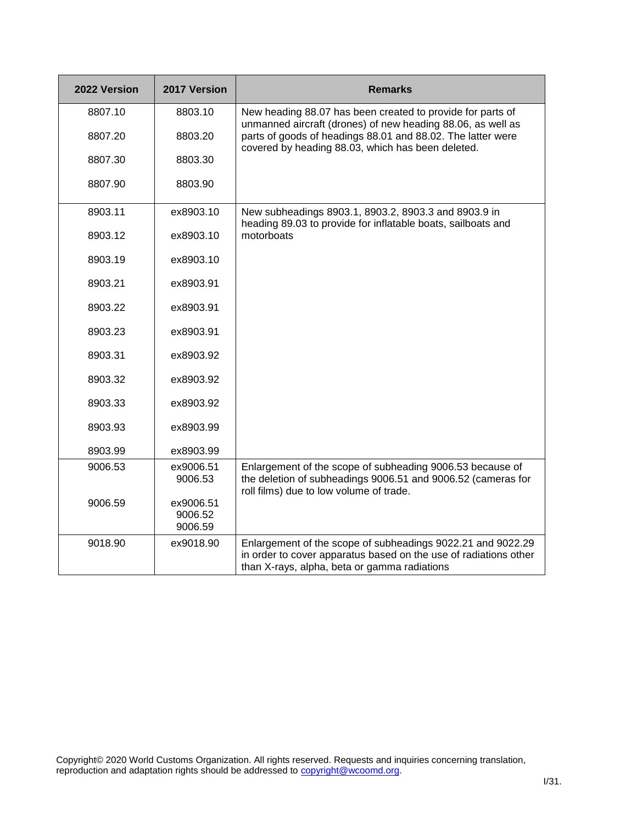| 2022 Version | 2017 Version                    | <b>Remarks</b>                                                                                                                                                                  |
|--------------|---------------------------------|---------------------------------------------------------------------------------------------------------------------------------------------------------------------------------|
| 8807.10      | 8803.10                         | New heading 88.07 has been created to provide for parts of<br>unmanned aircraft (drones) of new heading 88.06, as well as                                                       |
| 8807.20      | 8803.20                         | parts of goods of headings 88.01 and 88.02. The latter were<br>covered by heading 88.03, which has been deleted.                                                                |
| 8807.30      | 8803.30                         |                                                                                                                                                                                 |
| 8807.90      | 8803.90                         |                                                                                                                                                                                 |
| 8903.11      | ex8903.10                       | New subheadings 8903.1, 8903.2, 8903.3 and 8903.9 in<br>heading 89.03 to provide for inflatable boats, sailboats and                                                            |
| 8903.12      | ex8903.10                       | motorboats                                                                                                                                                                      |
| 8903.19      | ex8903.10                       |                                                                                                                                                                                 |
| 8903.21      | ex8903.91                       |                                                                                                                                                                                 |
| 8903.22      | ex8903.91                       |                                                                                                                                                                                 |
| 8903.23      | ex8903.91                       |                                                                                                                                                                                 |
| 8903.31      | ex8903.92                       |                                                                                                                                                                                 |
| 8903.32      | ex8903.92                       |                                                                                                                                                                                 |
| 8903.33      | ex8903.92                       |                                                                                                                                                                                 |
| 8903.93      | ex8903.99                       |                                                                                                                                                                                 |
| 8903.99      | ex8903.99                       |                                                                                                                                                                                 |
| 9006.53      | ex9006.51<br>9006.53            | Enlargement of the scope of subheading 9006.53 because of<br>the deletion of subheadings 9006.51 and 9006.52 (cameras for<br>roll films) due to low volume of trade.            |
| 9006.59      | ex9006.51<br>9006.52<br>9006.59 |                                                                                                                                                                                 |
| 9018.90      | ex9018.90                       | Enlargement of the scope of subheadings 9022.21 and 9022.29<br>in order to cover apparatus based on the use of radiations other<br>than X-rays, alpha, beta or gamma radiations |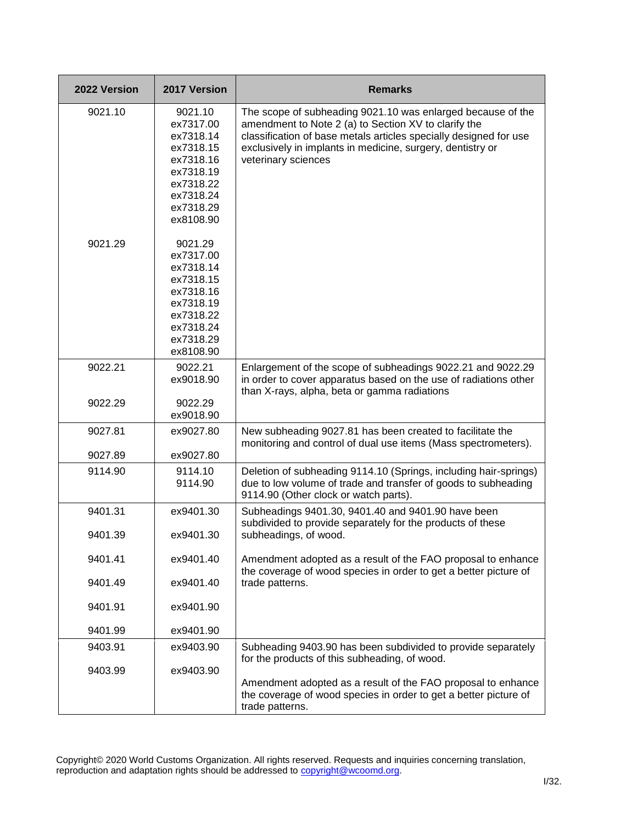| 2022 Version       | 2017 Version                                                                                                                                                                                                                                    | <b>Remarks</b>                                                                                                                                                                                                                                                                |
|--------------------|-------------------------------------------------------------------------------------------------------------------------------------------------------------------------------------------------------------------------------------------------|-------------------------------------------------------------------------------------------------------------------------------------------------------------------------------------------------------------------------------------------------------------------------------|
| 9021.10<br>9021.29 | 9021.10<br>ex7317.00<br>ex7318.14<br>ex7318.15<br>ex7318.16<br>ex7318.19<br>ex7318.22<br>ex7318.24<br>ex7318.29<br>ex8108.90<br>9021.29<br>ex7317.00<br>ex7318.14<br>ex7318.15<br>ex7318.16<br>ex7318.19<br>ex7318.22<br>ex7318.24<br>ex7318.29 | The scope of subheading 9021.10 was enlarged because of the<br>amendment to Note 2 (a) to Section XV to clarify the<br>classification of base metals articles specially designed for use<br>exclusively in implants in medicine, surgery, dentistry or<br>veterinary sciences |
| 9022.21            | ex8108.90<br>9022.21<br>ex9018.90                                                                                                                                                                                                               | Enlargement of the scope of subheadings 9022.21 and 9022.29<br>in order to cover apparatus based on the use of radiations other                                                                                                                                               |
| 9022.29            | 9022.29<br>ex9018.90                                                                                                                                                                                                                            | than X-rays, alpha, beta or gamma radiations                                                                                                                                                                                                                                  |
| 9027.81<br>9027.89 | ex9027.80<br>ex9027.80                                                                                                                                                                                                                          | New subheading 9027.81 has been created to facilitate the<br>monitoring and control of dual use items (Mass spectrometers).                                                                                                                                                   |
| 9114.90            | 9114.10<br>9114.90                                                                                                                                                                                                                              | Deletion of subheading 9114.10 (Springs, including hair-springs)<br>due to low volume of trade and transfer of goods to subheading<br>9114.90 (Other clock or watch parts).                                                                                                   |
| 9401.31            | ex9401.30                                                                                                                                                                                                                                       | Subheadings 9401.30, 9401.40 and 9401.90 have been<br>subdivided to provide separately for the products of these                                                                                                                                                              |
| 9401.39            | ex9401.30                                                                                                                                                                                                                                       | subheadings, of wood.                                                                                                                                                                                                                                                         |
| 9401.41            | ex9401.40                                                                                                                                                                                                                                       | Amendment adopted as a result of the FAO proposal to enhance<br>the coverage of wood species in order to get a better picture of                                                                                                                                              |
| 9401.49            | ex9401.40                                                                                                                                                                                                                                       | trade patterns.                                                                                                                                                                                                                                                               |
| 9401.91            | ex9401.90                                                                                                                                                                                                                                       |                                                                                                                                                                                                                                                                               |
| 9401.99            | ex9401.90                                                                                                                                                                                                                                       |                                                                                                                                                                                                                                                                               |
| 9403.91            | ex9403.90                                                                                                                                                                                                                                       | Subheading 9403.90 has been subdivided to provide separately<br>for the products of this subheading, of wood.                                                                                                                                                                 |
| 9403.99            | ex9403.90                                                                                                                                                                                                                                       | Amendment adopted as a result of the FAO proposal to enhance<br>the coverage of wood species in order to get a better picture of<br>trade patterns.                                                                                                                           |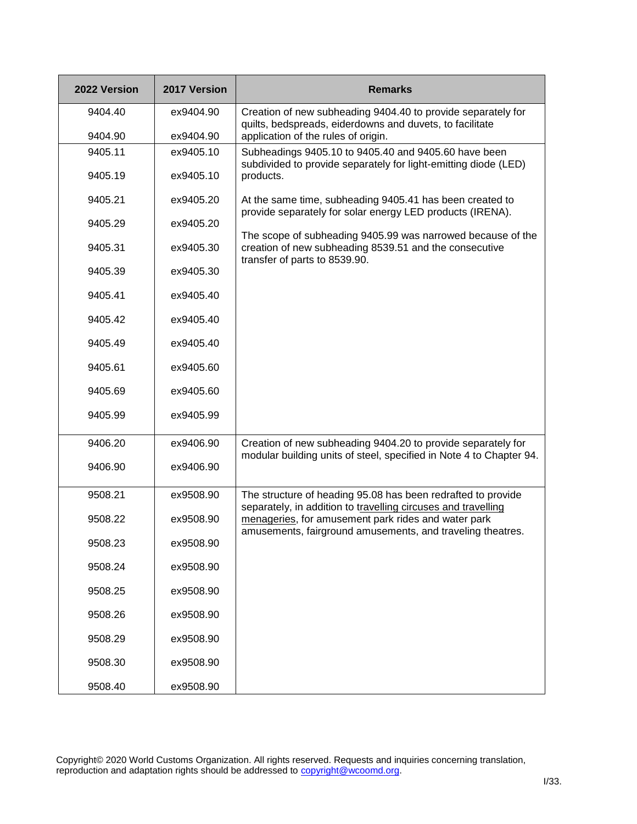| 2022 Version | 2017 Version | <b>Remarks</b>                                                                                                                                         |
|--------------|--------------|--------------------------------------------------------------------------------------------------------------------------------------------------------|
| 9404.40      | ex9404.90    | Creation of new subheading 9404.40 to provide separately for<br>quilts, bedspreads, eiderdowns and duvets, to facilitate                               |
| 9404.90      | ex9404.90    | application of the rules of origin.                                                                                                                    |
| 9405.11      | ex9405.10    | Subheadings 9405.10 to 9405.40 and 9405.60 have been                                                                                                   |
| 9405.19      | ex9405.10    | subdivided to provide separately for light-emitting diode (LED)<br>products.                                                                           |
| 9405.21      | ex9405.20    | At the same time, subheading 9405.41 has been created to<br>provide separately for solar energy LED products (IRENA).                                  |
| 9405.29      | ex9405.20    |                                                                                                                                                        |
| 9405.31      | ex9405.30    | The scope of subheading 9405.99 was narrowed because of the<br>creation of new subheading 8539.51 and the consecutive<br>transfer of parts to 8539.90. |
| 9405.39      | ex9405.30    |                                                                                                                                                        |
| 9405.41      | ex9405.40    |                                                                                                                                                        |
| 9405.42      | ex9405.40    |                                                                                                                                                        |
| 9405.49      | ex9405.40    |                                                                                                                                                        |
| 9405.61      | ex9405.60    |                                                                                                                                                        |
| 9405.69      | ex9405.60    |                                                                                                                                                        |
| 9405.99      | ex9405.99    |                                                                                                                                                        |
| 9406.20      | ex9406.90    | Creation of new subheading 9404.20 to provide separately for<br>modular building units of steel, specified in Note 4 to Chapter 94.                    |
| 9406.90      | ex9406.90    |                                                                                                                                                        |
| 9508.21      | ex9508.90    | The structure of heading 95.08 has been redrafted to provide<br>separately, in addition to travelling circuses and travelling                          |
| 9508.22      | ex9508.90    | menageries, for amusement park rides and water park<br>amusements, fairground amusements, and traveling theatres.                                      |
| 9508.23      | ex9508.90    |                                                                                                                                                        |
| 9508.24      | ex9508.90    |                                                                                                                                                        |
| 9508.25      | ex9508.90    |                                                                                                                                                        |
| 9508.26      | ex9508.90    |                                                                                                                                                        |
| 9508.29      | ex9508.90    |                                                                                                                                                        |
| 9508.30      | ex9508.90    |                                                                                                                                                        |
| 9508.40      | ex9508.90    |                                                                                                                                                        |